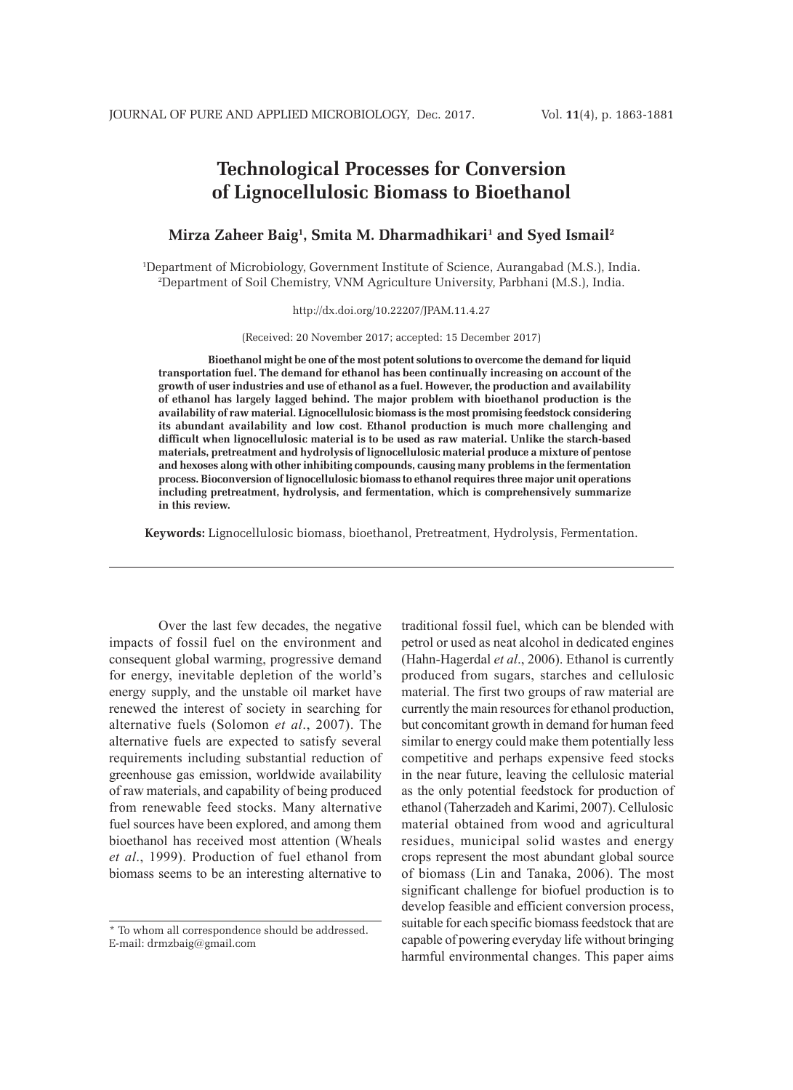# **Technological Processes for Conversion of Lignocellulosic Biomass to Bioethanol**

### **Mirza Zaheer Baig1 , Smita M. Dharmadhikari1 and Syed Ismail2**

1 Department of Microbiology, Government Institute of Science, Aurangabad (M.S.), India. 2 Department of Soil Chemistry, VNM Agriculture University, Parbhani (M.S.), India.

#### http://dx.doi.org/10.22207/JPAM.11.4.27

(Received: 20 November 2017; accepted: 15 December 2017)

**Bioethanol might be one of the most potent solutions to overcome the demand for liquid transportation fuel. The demand for ethanol has been continually increasing on account of the growth of user industries and use of ethanol as a fuel. However, the production and availability of ethanol has largely lagged behind. The major problem with bioethanol production is the availability of raw material. Lignocellulosic biomass is the most promising feedstock considering its abundant availability and low cost. Ethanol production is much more challenging and difficult when lignocellulosic material is to be used as raw material. Unlike the starch-based materials, pretreatment and hydrolysis of lignocellulosic material produce a mixture of pentose and hexoses along with other inhibiting compounds, causing many problems in the fermentation process. Bioconversion of lignocellulosic biomass to ethanol requires three major unit operations including pretreatment, hydrolysis, and fermentation, which is comprehensively summarize in this review.**

**Keywords:** Lignocellulosic biomass, bioethanol, Pretreatment, Hydrolysis, Fermentation.

Over the last few decades, the negative impacts of fossil fuel on the environment and consequent global warming, progressive demand for energy, inevitable depletion of the world's energy supply, and the unstable oil market have renewed the interest of society in searching for alternative fuels (Solomon *et al*., 2007). The alternative fuels are expected to satisfy several requirements including substantial reduction of greenhouse gas emission, worldwide availability of raw materials, and capability of being produced from renewable feed stocks. Many alternative fuel sources have been explored, and among them bioethanol has received most attention (Wheals *et al*., 1999). Production of fuel ethanol from biomass seems to be an interesting alternative to

traditional fossil fuel, which can be blended with petrol or used as neat alcohol in dedicated engines (Hahn-Hagerdal *et al*., 2006). Ethanol is currently produced from sugars, starches and cellulosic material. The first two groups of raw material are currently the main resources for ethanol production, but concomitant growth in demand for human feed similar to energy could make them potentially less competitive and perhaps expensive feed stocks in the near future, leaving the cellulosic material as the only potential feedstock for production of ethanol (Taherzadeh and Karimi, 2007). Cellulosic material obtained from wood and agricultural residues, municipal solid wastes and energy crops represent the most abundant global source of biomass (Lin and Tanaka, 2006). The most significant challenge for biofuel production is to develop feasible and efficient conversion process, suitable for each specific biomass feedstock that are capable of powering everyday life without bringing harmful environmental changes. This paper aims

<sup>\*</sup> To whom all correspondence should be addressed. E-mail: drmzbaig@gmail.com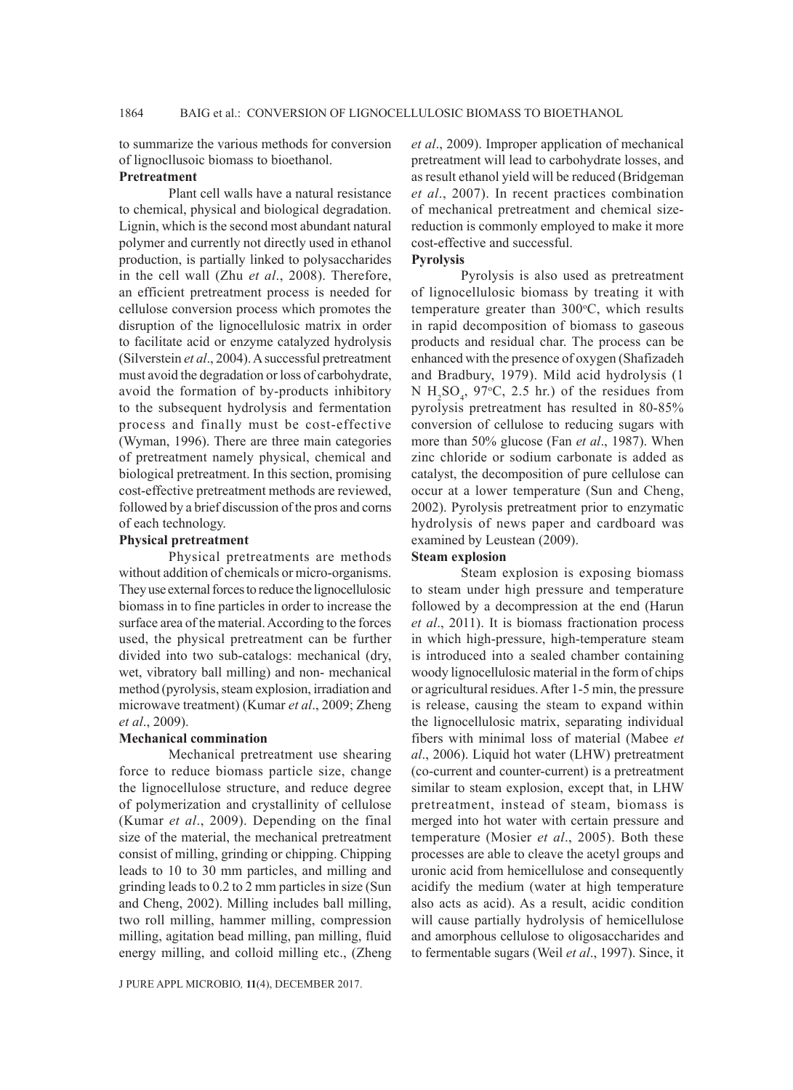to summarize the various methods for conversion of lignocllusoic biomass to bioethanol.

#### **Pretreatment**

Plant cell walls have a natural resistance to chemical, physical and biological degradation. Lignin, which is the second most abundant natural polymer and currently not directly used in ethanol production, is partially linked to polysaccharides in the cell wall (Zhu *et al*., 2008). Therefore, an efficient pretreatment process is needed for cellulose conversion process which promotes the disruption of the lignocellulosic matrix in order to facilitate acid or enzyme catalyzed hydrolysis (Silverstein *et al*., 2004). A successful pretreatment must avoid the degradation or loss of carbohydrate, avoid the formation of by-products inhibitory to the subsequent hydrolysis and fermentation process and finally must be cost-effective (Wyman, 1996). There are three main categories of pretreatment namely physical, chemical and biological pretreatment. In this section, promising cost-effective pretreatment methods are reviewed, followed by a brief discussion of the pros and corns of each technology.

#### **Physical pretreatment**

Physical pretreatments are methods without addition of chemicals or micro-organisms. They use external forces to reduce the lignocellulosic biomass in to fine particles in order to increase the surface area of the material. According to the forces used, the physical pretreatment can be further divided into two sub-catalogs: mechanical (dry, wet, vibratory ball milling) and non- mechanical method (pyrolysis, steam explosion, irradiation and microwave treatment) (Kumar *et al*., 2009; Zheng *et al*., 2009).

### **Mechanical commination**

Mechanical pretreatment use shearing force to reduce biomass particle size, change the lignocellulose structure, and reduce degree of polymerization and crystallinity of cellulose (Kumar *et al*., 2009). Depending on the final size of the material, the mechanical pretreatment consist of milling, grinding or chipping. Chipping leads to 10 to 30 mm particles, and milling and grinding leads to 0.2 to 2 mm particles in size (Sun and Cheng, 2002). Milling includes ball milling, two roll milling, hammer milling, compression milling, agitation bead milling, pan milling, fluid energy milling, and colloid milling etc., (Zheng

J PURE APPL MICROBIO*,* **11**(4), DECEMBER 2017.

*et al*., 2009). Improper application of mechanical pretreatment will lead to carbohydrate losses, and as result ethanol yield will be reduced (Bridgeman *et al*., 2007). In recent practices combination of mechanical pretreatment and chemical sizereduction is commonly employed to make it more cost-effective and successful.

### **Pyrolysis**

Pyrolysis is also used as pretreatment of lignocellulosic biomass by treating it with temperature greater than  $300^{\circ}$ C, which results in rapid decomposition of biomass to gaseous products and residual char. The process can be enhanced with the presence of oxygen (Shafizadeh and Bradbury, 1979). Mild acid hydrolysis (1 N  $H_2SO_4$ , 97°C, 2.5 hr.) of the residues from pyrolysis pretreatment has resulted in 80-85% conversion of cellulose to reducing sugars with more than 50% glucose (Fan *et al*., 1987). When zinc chloride or sodium carbonate is added as catalyst, the decomposition of pure cellulose can occur at a lower temperature (Sun and Cheng, 2002). Pyrolysis pretreatment prior to enzymatic hydrolysis of news paper and cardboard was examined by Leustean (2009).

### **Steam explosion**

Steam explosion is exposing biomass to steam under high pressure and temperature followed by a decompression at the end (Harun *et al*., 2011). It is biomass fractionation process in which high-pressure, high-temperature steam is introduced into a sealed chamber containing woody lignocellulosic material in the form of chips or agricultural residues. After 1-5 min, the pressure is release, causing the steam to expand within the lignocellulosic matrix, separating individual fibers with minimal loss of material (Mabee *et al*., 2006). Liquid hot water (LHW) pretreatment (co-current and counter-current) is a pretreatment similar to steam explosion, except that, in LHW pretreatment, instead of steam, biomass is merged into hot water with certain pressure and temperature (Mosier *et al*., 2005). Both these processes are able to cleave the acetyl groups and uronic acid from hemicellulose and consequently acidify the medium (water at high temperature also acts as acid). As a result, acidic condition will cause partially hydrolysis of hemicellulose and amorphous cellulose to oligosaccharides and to fermentable sugars (Weil *et al*., 1997). Since, it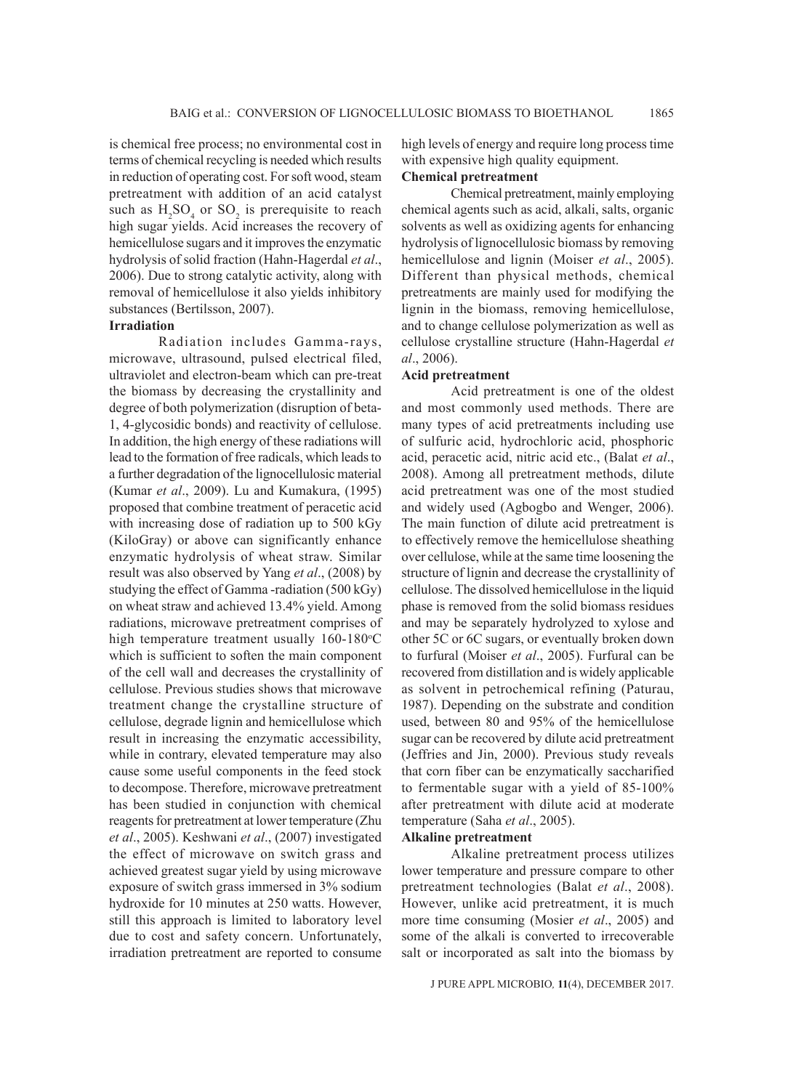is chemical free process; no environmental cost in terms of chemical recycling is needed which results in reduction of operating cost. For soft wood, steam pretreatment with addition of an acid catalyst such as  $H_2SO_4$  or  $SO_2$  is prerequisite to reach high sugar yields. Acid increases the recovery of hemicellulose sugars and it improves the enzymatic hydrolysis of solid fraction (Hahn-Hagerdal *et al*., 2006). Due to strong catalytic activity, along with removal of hemicellulose it also yields inhibitory substances (Bertilsson, 2007).

# **Irradiation**

Radiation includes Gamma-rays, microwave, ultrasound, pulsed electrical filed, ultraviolet and electron-beam which can pre-treat the biomass by decreasing the crystallinity and degree of both polymerization (disruption of beta-1, 4-glycosidic bonds) and reactivity of cellulose. In addition, the high energy of these radiations will lead to the formation of free radicals, which leads to a further degradation of the lignocellulosic material (Kumar *et al*., 2009). Lu and Kumakura, (1995) proposed that combine treatment of peracetic acid with increasing dose of radiation up to 500 kGy (KiloGray) or above can significantly enhance enzymatic hydrolysis of wheat straw. Similar result was also observed by Yang *et al*., (2008) by studying the effect of Gamma -radiation (500 kGy) on wheat straw and achieved 13.4% yield. Among radiations, microwave pretreatment comprises of high temperature treatment usually  $160-180^{\circ}$ C which is sufficient to soften the main component of the cell wall and decreases the crystallinity of cellulose. Previous studies shows that microwave treatment change the crystalline structure of cellulose, degrade lignin and hemicellulose which result in increasing the enzymatic accessibility, while in contrary, elevated temperature may also cause some useful components in the feed stock to decompose. Therefore, microwave pretreatment has been studied in conjunction with chemical reagents for pretreatment at lower temperature (Zhu *et al*., 2005). Keshwani *et al*., (2007) investigated the effect of microwave on switch grass and achieved greatest sugar yield by using microwave exposure of switch grass immersed in 3% sodium hydroxide for 10 minutes at 250 watts. However, still this approach is limited to laboratory level due to cost and safety concern. Unfortunately, irradiation pretreatment are reported to consume

high levels of energy and require long process time with expensive high quality equipment.

### **Chemical pretreatment**

Chemical pretreatment, mainly employing chemical agents such as acid, alkali, salts, organic solvents as well as oxidizing agents for enhancing hydrolysis of lignocellulosic biomass by removing hemicellulose and lignin (Moiser *et al*., 2005). Different than physical methods, chemical pretreatments are mainly used for modifying the lignin in the biomass, removing hemicellulose, and to change cellulose polymerization as well as cellulose crystalline structure (Hahn-Hagerdal *et al*., 2006).

#### **Acid pretreatment**

Acid pretreatment is one of the oldest and most commonly used methods. There are many types of acid pretreatments including use of sulfuric acid, hydrochloric acid, phosphoric acid, peracetic acid, nitric acid etc., (Balat *et al*., 2008). Among all pretreatment methods, dilute acid pretreatment was one of the most studied and widely used (Agbogbo and Wenger, 2006). The main function of dilute acid pretreatment is to effectively remove the hemicellulose sheathing over cellulose, while at the same time loosening the structure of lignin and decrease the crystallinity of cellulose. The dissolved hemicellulose in the liquid phase is removed from the solid biomass residues and may be separately hydrolyzed to xylose and other 5C or 6C sugars, or eventually broken down to furfural (Moiser *et al*., 2005). Furfural can be recovered from distillation and is widely applicable as solvent in petrochemical refining (Paturau, 1987). Depending on the substrate and condition used, between 80 and 95% of the hemicellulose sugar can be recovered by dilute acid pretreatment (Jeffries and Jin, 2000). Previous study reveals that corn fiber can be enzymatically saccharified to fermentable sugar with a yield of 85-100% after pretreatment with dilute acid at moderate temperature (Saha *et al*., 2005).

### **Alkaline pretreatment**

Alkaline pretreatment process utilizes lower temperature and pressure compare to other pretreatment technologies (Balat *et al*., 2008). However, unlike acid pretreatment, it is much more time consuming (Mosier *et al*., 2005) and some of the alkali is converted to irrecoverable salt or incorporated as salt into the biomass by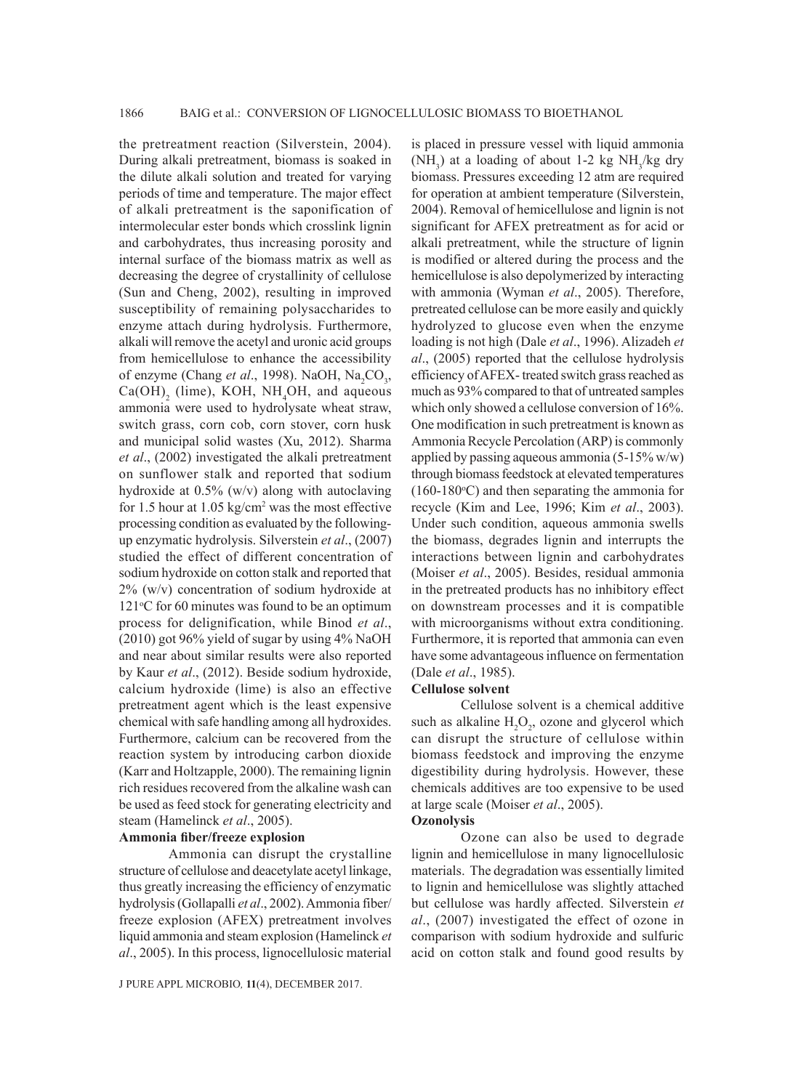the pretreatment reaction (Silverstein, 2004). During alkali pretreatment, biomass is soaked in the dilute alkali solution and treated for varying periods of time and temperature. The major effect of alkali pretreatment is the saponification of intermolecular ester bonds which crosslink lignin and carbohydrates, thus increasing porosity and internal surface of the biomass matrix as well as decreasing the degree of crystallinity of cellulose (Sun and Cheng, 2002), resulting in improved susceptibility of remaining polysaccharides to enzyme attach during hydrolysis. Furthermore, alkali will remove the acetyl and uronic acid groups from hemicellulose to enhance the accessibility of enzyme (Chang *et al.*, 1998). NaOH, Na<sub>2</sub>CO<sub>3</sub>,  $Ca(OH)$ <sub>2</sub> (lime), KOH, NH<sub>4</sub>OH, and aqueous ammonia were used to hydrolysate wheat straw, switch grass, corn cob, corn stover, corn husk and municipal solid wastes (Xu, 2012). Sharma *et al*., (2002) investigated the alkali pretreatment on sunflower stalk and reported that sodium hydroxide at 0.5% (w/v) along with autoclaving for 1.5 hour at  $1.05 \text{ kg/cm}^2$  was the most effective processing condition as evaluated by the followingup enzymatic hydrolysis. Silverstein *et al*., (2007) studied the effect of different concentration of sodium hydroxide on cotton stalk and reported that 2% (w/v) concentration of sodium hydroxide at  $121\textdegree C$  for 60 minutes was found to be an optimum process for delignification, while Binod *et al*., (2010) got 96% yield of sugar by using 4% NaOH and near about similar results were also reported by Kaur *et al*., (2012). Beside sodium hydroxide, calcium hydroxide (lime) is also an effective pretreatment agent which is the least expensive chemical with safe handling among all hydroxides. Furthermore, calcium can be recovered from the reaction system by introducing carbon dioxide (Karr and Holtzapple, 2000). The remaining lignin rich residues recovered from the alkaline wash can be used as feed stock for generating electricity and steam (Hamelinck *et al*., 2005).

### **Ammonia fiber/freeze explosion**

Ammonia can disrupt the crystalline structure of cellulose and deacetylate acetyl linkage, thus greatly increasing the efficiency of enzymatic hydrolysis (Gollapalli *et al*., 2002). Ammonia fiber/ freeze explosion (AFEX) pretreatment involves liquid ammonia and steam explosion (Hamelinck *et al*., 2005). In this process, lignocellulosic material

J PURE APPL MICROBIO*,* **11**(4), DECEMBER 2017.

is placed in pressure vessel with liquid ammonia (NH<sub>3</sub>) at a loading of about 1-2 kg NH<sub>3</sub>/kg dry biomass. Pressures exceeding 12 atm are required for operation at ambient temperature (Silverstein, 2004). Removal of hemicellulose and lignin is not significant for AFEX pretreatment as for acid or alkali pretreatment, while the structure of lignin is modified or altered during the process and the hemicellulose is also depolymerized by interacting with ammonia (Wyman *et al*., 2005). Therefore, pretreated cellulose can be more easily and quickly hydrolyzed to glucose even when the enzyme loading is not high (Dale *et al*., 1996). Alizadeh *et al*., (2005) reported that the cellulose hydrolysis efficiency of AFEX- treated switch grass reached as much as 93% compared to that of untreated samples which only showed a cellulose conversion of 16%. One modification in such pretreatment is known as Ammonia Recycle Percolation (ARP) is commonly applied by passing aqueous ammonia  $(5-15\% \text{ w/w})$ through biomass feedstock at elevated temperatures  $(160-180$ <sup>o</sup>C) and then separating the ammonia for recycle (Kim and Lee, 1996; Kim *et al*., 2003). Under such condition, aqueous ammonia swells the biomass, degrades lignin and interrupts the interactions between lignin and carbohydrates (Moiser *et al*., 2005). Besides, residual ammonia in the pretreated products has no inhibitory effect on downstream processes and it is compatible with microorganisms without extra conditioning. Furthermore, it is reported that ammonia can even have some advantageous influence on fermentation (Dale *et al*., 1985).

#### **Cellulose solvent**

Cellulose solvent is a chemical additive such as alkaline  $H_2O_2$ , ozone and glycerol which can disrupt the structure of cellulose within biomass feedstock and improving the enzyme digestibility during hydrolysis. However, these chemicals additives are too expensive to be used at large scale (Moiser *et al*., 2005).

#### **Ozonolysis**

Ozone can also be used to degrade lignin and hemicellulose in many lignocellulosic materials. The degradation was essentially limited to lignin and hemicellulose was slightly attached but cellulose was hardly affected. Silverstein *et al*., (2007) investigated the effect of ozone in comparison with sodium hydroxide and sulfuric acid on cotton stalk and found good results by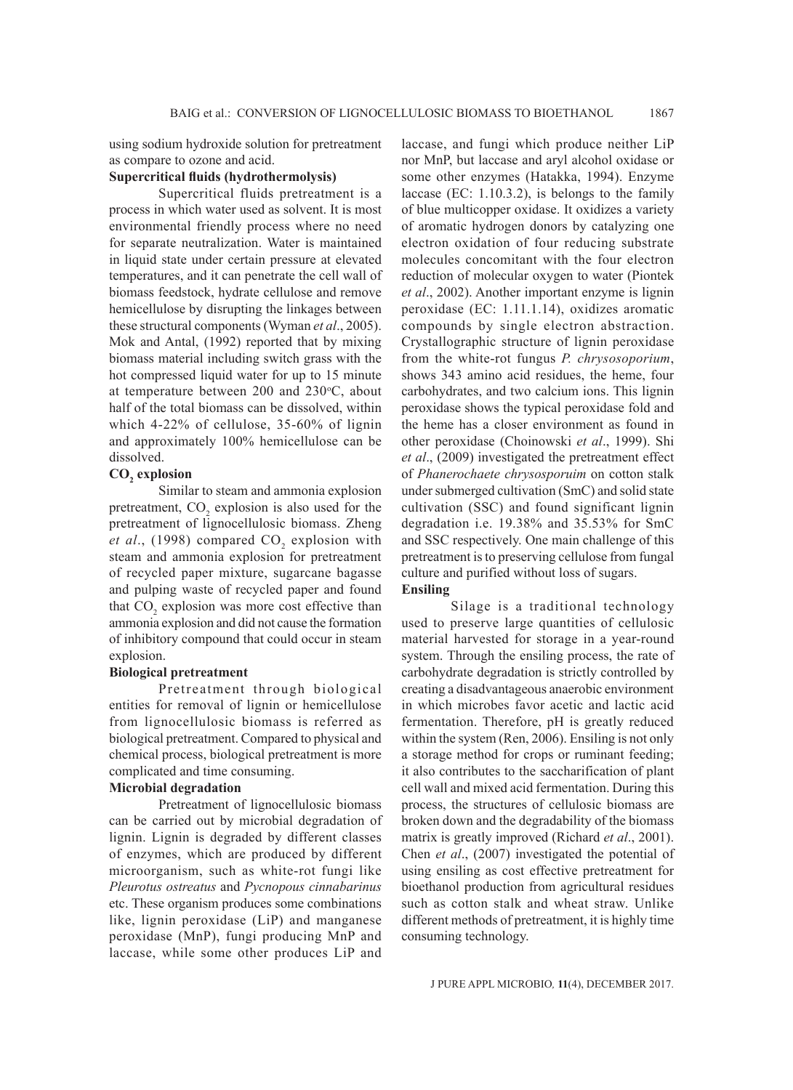using sodium hydroxide solution for pretreatment as compare to ozone and acid.

### **Supercritical fluids (hydrothermolysis)**

Supercritical fluids pretreatment is a process in which water used as solvent. It is most environmental friendly process where no need for separate neutralization. Water is maintained in liquid state under certain pressure at elevated temperatures, and it can penetrate the cell wall of biomass feedstock, hydrate cellulose and remove hemicellulose by disrupting the linkages between these structural components (Wyman *et al*., 2005). Mok and Antal, (1992) reported that by mixing biomass material including switch grass with the hot compressed liquid water for up to 15 minute at temperature between  $200$  and  $230^{\circ}$ C, about half of the total biomass can be dissolved, within which 4-22% of cellulose, 35-60% of lignin and approximately 100% hemicellulose can be dissolved.

# $CO<sub>2</sub>$  explosion

Similar to steam and ammonia explosion pretreatment,  $CO_2$  explosion is also used for the pretreatment of lignocellulosic biomass. Zheng *et al.*, (1998) compared  $CO_2$  explosion with steam and ammonia explosion for pretreatment of recycled paper mixture, sugarcane bagasse and pulping waste of recycled paper and found that  $CO_2$  explosion was more cost effective than ammonia explosion and did not cause the formation of inhibitory compound that could occur in steam explosion.

#### **Biological pretreatment**

Pretreatment through biological entities for removal of lignin or hemicellulose from lignocellulosic biomass is referred as biological pretreatment. Compared to physical and chemical process, biological pretreatment is more complicated and time consuming.

### **Microbial degradation**

Pretreatment of lignocellulosic biomass can be carried out by microbial degradation of lignin. Lignin is degraded by different classes of enzymes, which are produced by different microorganism, such as white-rot fungi like *Pleurotus ostreatus* and *Pycnopous cinnabarinus* etc. These organism produces some combinations like, lignin peroxidase (LiP) and manganese peroxidase (MnP), fungi producing MnP and laccase, while some other produces LiP and

laccase, and fungi which produce neither LiP nor MnP, but laccase and aryl alcohol oxidase or some other enzymes (Hatakka, 1994). Enzyme laccase (EC: 1.10.3.2), is belongs to the family of blue multicopper oxidase. It oxidizes a variety of aromatic hydrogen donors by catalyzing one electron oxidation of four reducing substrate molecules concomitant with the four electron reduction of molecular oxygen to water (Piontek *et al*., 2002). Another important enzyme is lignin peroxidase (EC: 1.11.1.14), oxidizes aromatic compounds by single electron abstraction. Crystallographic structure of lignin peroxidase from the white-rot fungus *P. chrysosoporium*, shows 343 amino acid residues, the heme, four carbohydrates, and two calcium ions. This lignin peroxidase shows the typical peroxidase fold and the heme has a closer environment as found in other peroxidase (Choinowski *et al*., 1999). Shi *et al*., (2009) investigated the pretreatment effect of *Phanerochaete chrysosporuim* on cotton stalk under submerged cultivation (SmC) and solid state cultivation (SSC) and found significant lignin degradation i.e. 19.38% and 35.53% for SmC and SSC respectively. One main challenge of this pretreatment is to preserving cellulose from fungal culture and purified without loss of sugars. **Ensiling**

Silage is a traditional technology used to preserve large quantities of cellulosic material harvested for storage in a year-round system. Through the ensiling process, the rate of carbohydrate degradation is strictly controlled by creating a disadvantageous anaerobic environment in which microbes favor acetic and lactic acid fermentation. Therefore, pH is greatly reduced within the system (Ren, 2006). Ensiling is not only a storage method for crops or ruminant feeding; it also contributes to the saccharification of plant cell wall and mixed acid fermentation. During this process, the structures of cellulosic biomass are broken down and the degradability of the biomass matrix is greatly improved (Richard *et al*., 2001). Chen *et al*., (2007) investigated the potential of using ensiling as cost effective pretreatment for bioethanol production from agricultural residues such as cotton stalk and wheat straw. Unlike different methods of pretreatment, it is highly time consuming technology.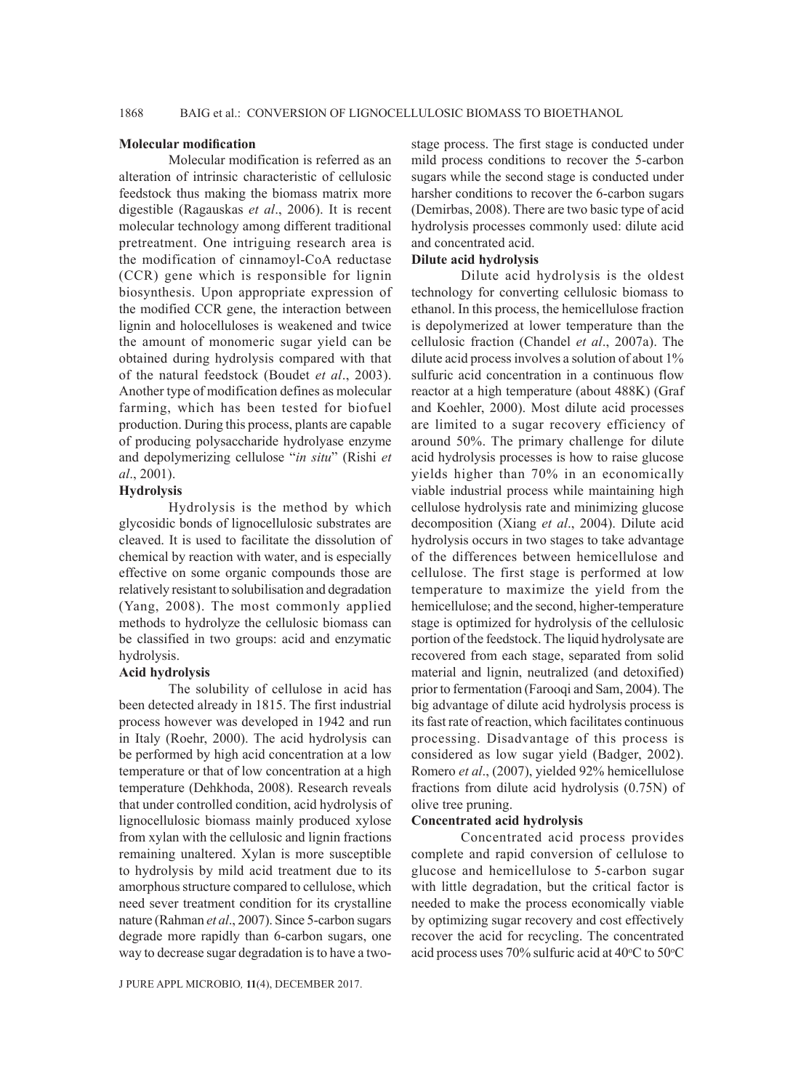#### **Molecular modification**

Molecular modification is referred as an alteration of intrinsic characteristic of cellulosic feedstock thus making the biomass matrix more digestible (Ragauskas *et al*., 2006). It is recent molecular technology among different traditional pretreatment. One intriguing research area is the modification of cinnamoyl-CoA reductase (CCR) gene which is responsible for lignin biosynthesis. Upon appropriate expression of the modified CCR gene, the interaction between lignin and holocelluloses is weakened and twice the amount of monomeric sugar yield can be obtained during hydrolysis compared with that of the natural feedstock (Boudet *et al*., 2003). Another type of modification defines as molecular farming, which has been tested for biofuel production. During this process, plants are capable of producing polysaccharide hydrolyase enzyme and depolymerizing cellulose "*in situ*" (Rishi *et al*., 2001).

### **Hydrolysis**

Hydrolysis is the method by which glycosidic bonds of lignocellulosic substrates are cleaved. It is used to facilitate the dissolution of chemical by reaction with water, and is especially effective on some organic compounds those are relatively resistant to solubilisation and degradation (Yang, 2008). The most commonly applied methods to hydrolyze the cellulosic biomass can be classified in two groups: acid and enzymatic hydrolysis.

### **Acid hydrolysis**

The solubility of cellulose in acid has been detected already in 1815. The first industrial process however was developed in 1942 and run in Italy (Roehr, 2000). The acid hydrolysis can be performed by high acid concentration at a low temperature or that of low concentration at a high temperature (Dehkhoda, 2008). Research reveals that under controlled condition, acid hydrolysis of lignocellulosic biomass mainly produced xylose from xylan with the cellulosic and lignin fractions remaining unaltered. Xylan is more susceptible to hydrolysis by mild acid treatment due to its amorphous structure compared to cellulose, which need sever treatment condition for its crystalline nature (Rahman *et al*., 2007). Since 5-carbon sugars degrade more rapidly than 6-carbon sugars, one way to decrease sugar degradation is to have a two-

stage process. The first stage is conducted under mild process conditions to recover the 5-carbon sugars while the second stage is conducted under harsher conditions to recover the 6-carbon sugars (Demirbas, 2008). There are two basic type of acid hydrolysis processes commonly used: dilute acid and concentrated acid.

### **Dilute acid hydrolysis**

Dilute acid hydrolysis is the oldest technology for converting cellulosic biomass to ethanol. In this process, the hemicellulose fraction is depolymerized at lower temperature than the cellulosic fraction (Chandel *et al*., 2007a). The dilute acid process involves a solution of about 1% sulfuric acid concentration in a continuous flow reactor at a high temperature (about 488K) (Graf and Koehler, 2000). Most dilute acid processes are limited to a sugar recovery efficiency of around 50%. The primary challenge for dilute acid hydrolysis processes is how to raise glucose yields higher than 70% in an economically viable industrial process while maintaining high cellulose hydrolysis rate and minimizing glucose decomposition (Xiang *et al*., 2004). Dilute acid hydrolysis occurs in two stages to take advantage of the differences between hemicellulose and cellulose. The first stage is performed at low temperature to maximize the yield from the hemicellulose; and the second, higher-temperature stage is optimized for hydrolysis of the cellulosic portion of the feedstock. The liquid hydrolysate are recovered from each stage, separated from solid material and lignin, neutralized (and detoxified) prior to fermentation (Farooqi and Sam, 2004). The big advantage of dilute acid hydrolysis process is its fast rate of reaction, which facilitates continuous processing. Disadvantage of this process is considered as low sugar yield (Badger, 2002). Romero *et al*., (2007), yielded 92% hemicellulose fractions from dilute acid hydrolysis (0.75N) of olive tree pruning.

### **Concentrated acid hydrolysis**

Concentrated acid process provides complete and rapid conversion of cellulose to glucose and hemicellulose to 5-carbon sugar with little degradation, but the critical factor is needed to make the process economically viable by optimizing sugar recovery and cost effectively recover the acid for recycling. The concentrated acid process uses  $70\%$  sulfuric acid at  $40\degree$ C to  $50\degree$ C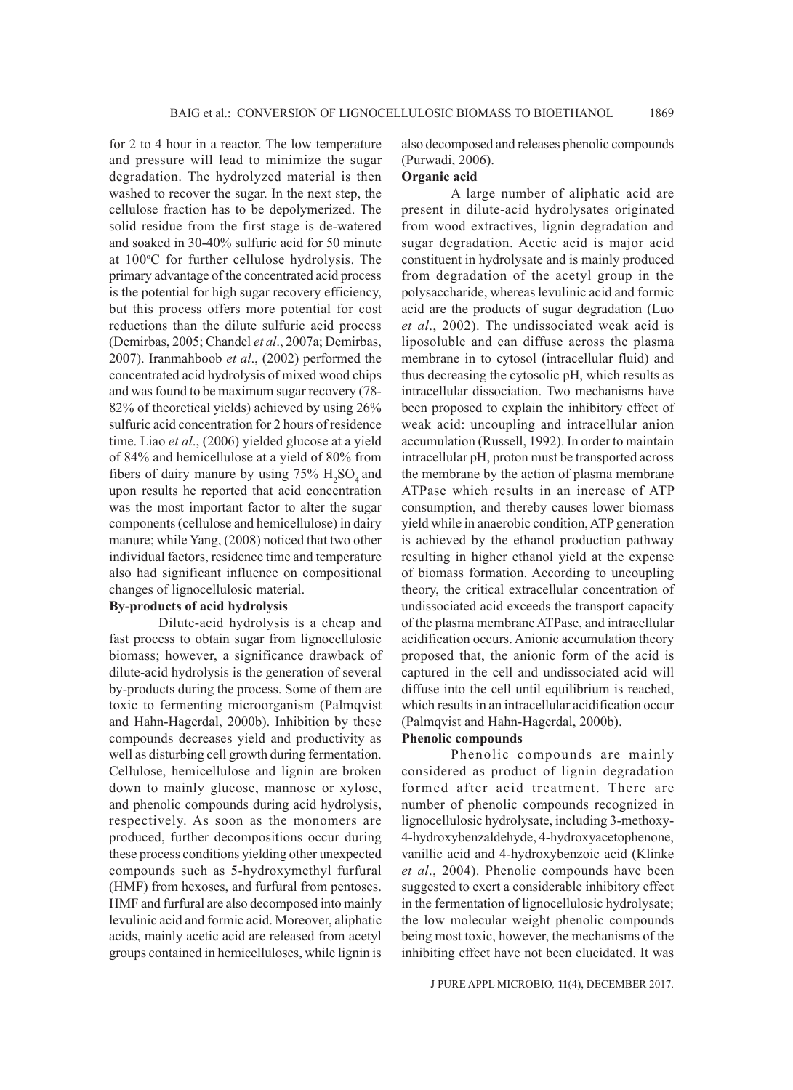for 2 to 4 hour in a reactor. The low temperature and pressure will lead to minimize the sugar degradation. The hydrolyzed material is then washed to recover the sugar. In the next step, the cellulose fraction has to be depolymerized. The solid residue from the first stage is de-watered and soaked in 30-40% sulfuric acid for 50 minute at 100°C for further cellulose hydrolysis. The primary advantage of the concentrated acid process is the potential for high sugar recovery efficiency, but this process offers more potential for cost reductions than the dilute sulfuric acid process (Demirbas, 2005; Chandel *et al*., 2007a; Demirbas, 2007). Iranmahboob *et al*., (2002) performed the concentrated acid hydrolysis of mixed wood chips and was found to be maximum sugar recovery (78- 82% of theoretical yields) achieved by using 26% sulfuric acid concentration for 2 hours of residence time. Liao *et al*., (2006) yielded glucose at a yield of 84% and hemicellulose at a yield of 80% from fibers of dairy manure by using  $75\%$   $H_2SO_4$  and upon results he reported that acid concentration was the most important factor to alter the sugar components (cellulose and hemicellulose) in dairy manure; while Yang, (2008) noticed that two other individual factors, residence time and temperature also had significant influence on compositional changes of lignocellulosic material.

### **By-products of acid hydrolysis**

Dilute-acid hydrolysis is a cheap and fast process to obtain sugar from lignocellulosic biomass; however, a significance drawback of dilute-acid hydrolysis is the generation of several by-products during the process. Some of them are toxic to fermenting microorganism (Palmqvist and Hahn-Hagerdal, 2000b). Inhibition by these compounds decreases yield and productivity as well as disturbing cell growth during fermentation. Cellulose, hemicellulose and lignin are broken down to mainly glucose, mannose or xylose, and phenolic compounds during acid hydrolysis, respectively. As soon as the monomers are produced, further decompositions occur during these process conditions yielding other unexpected compounds such as 5-hydroxymethyl furfural (HMF) from hexoses, and furfural from pentoses. HMF and furfural are also decomposed into mainly levulinic acid and formic acid. Moreover, aliphatic acids, mainly acetic acid are released from acetyl groups contained in hemicelluloses, while lignin is also decomposed and releases phenolic compounds (Purwadi, 2006).

# **Organic acid**

A large number of aliphatic acid are present in dilute-acid hydrolysates originated from wood extractives, lignin degradation and sugar degradation. Acetic acid is major acid constituent in hydrolysate and is mainly produced from degradation of the acetyl group in the polysaccharide, whereas levulinic acid and formic acid are the products of sugar degradation (Luo *et al*., 2002). The undissociated weak acid is liposoluble and can diffuse across the plasma membrane in to cytosol (intracellular fluid) and thus decreasing the cytosolic pH, which results as intracellular dissociation. Two mechanisms have been proposed to explain the inhibitory effect of weak acid: uncoupling and intracellular anion accumulation (Russell, 1992). In order to maintain intracellular pH, proton must be transported across the membrane by the action of plasma membrane ATPase which results in an increase of ATP consumption, and thereby causes lower biomass yield while in anaerobic condition, ATP generation is achieved by the ethanol production pathway resulting in higher ethanol yield at the expense of biomass formation. According to uncoupling theory, the critical extracellular concentration of undissociated acid exceeds the transport capacity of the plasma membrane ATPase, and intracellular acidification occurs. Anionic accumulation theory proposed that, the anionic form of the acid is captured in the cell and undissociated acid will diffuse into the cell until equilibrium is reached, which results in an intracellular acidification occur (Palmqvist and Hahn-Hagerdal, 2000b).

### **Phenolic compounds**

Phenolic compounds are mainly considered as product of lignin degradation formed after acid treatment. There are number of phenolic compounds recognized in lignocellulosic hydrolysate, including 3-methoxy-4-hydroxybenzaldehyde, 4-hydroxyacetophenone, vanillic acid and 4-hydroxybenzoic acid (Klinke *et al*., 2004). Phenolic compounds have been suggested to exert a considerable inhibitory effect in the fermentation of lignocellulosic hydrolysate; the low molecular weight phenolic compounds being most toxic, however, the mechanisms of the inhibiting effect have not been elucidated. It was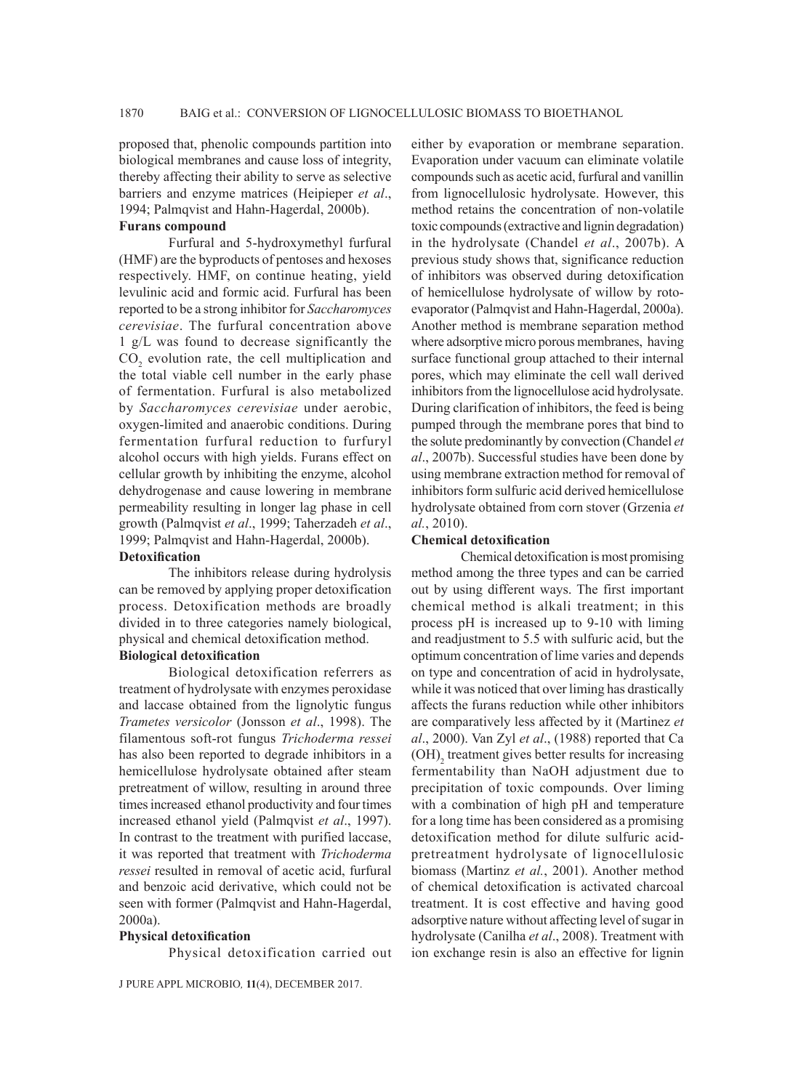proposed that, phenolic compounds partition into biological membranes and cause loss of integrity, thereby affecting their ability to serve as selective barriers and enzyme matrices (Heipieper *et al*., 1994; Palmqvist and Hahn-Hagerdal, 2000b).

# **Furans compound**

Furfural and 5-hydroxymethyl furfural (HMF) are the byproducts of pentoses and hexoses respectively. HMF, on continue heating, yield levulinic acid and formic acid. Furfural has been reported to be a strong inhibitor for *Saccharomyces cerevisiae*. The furfural concentration above 1 g/L was found to decrease significantly the  $CO<sub>2</sub>$  evolution rate, the cell multiplication and the total viable cell number in the early phase of fermentation. Furfural is also metabolized by *Saccharomyces cerevisiae* under aerobic, oxygen-limited and anaerobic conditions. During fermentation furfural reduction to furfuryl alcohol occurs with high yields. Furans effect on cellular growth by inhibiting the enzyme, alcohol dehydrogenase and cause lowering in membrane permeability resulting in longer lag phase in cell growth (Palmqvist *et al*., 1999; Taherzadeh *et al*., 1999; Palmqvist and Hahn-Hagerdal, 2000b).

#### **Detoxification**

The inhibitors release during hydrolysis can be removed by applying proper detoxification process. Detoxification methods are broadly divided in to three categories namely biological, physical and chemical detoxification method.

# **Biological detoxification**

Biological detoxification referrers as treatment of hydrolysate with enzymes peroxidase and laccase obtained from the lignolytic fungus *Trametes versicolor* (Jonsson *et al*., 1998). The filamentous soft-rot fungus *Trichoderma ressei* has also been reported to degrade inhibitors in a hemicellulose hydrolysate obtained after steam pretreatment of willow, resulting in around three times increased ethanol productivity and four times increased ethanol yield (Palmqvist *et al*., 1997). In contrast to the treatment with purified laccase, it was reported that treatment with *Trichoderma ressei* resulted in removal of acetic acid, furfural and benzoic acid derivative, which could not be seen with former (Palmqvist and Hahn-Hagerdal, 2000a).

### **Physical detoxification**

Physical detoxification carried out

either by evaporation or membrane separation. Evaporation under vacuum can eliminate volatile compounds such as acetic acid, furfural and vanillin from lignocellulosic hydrolysate. However, this method retains the concentration of non-volatile toxic compounds (extractive and lignin degradation) in the hydrolysate (Chandel *et al*., 2007b). A previous study shows that, significance reduction of inhibitors was observed during detoxification of hemicellulose hydrolysate of willow by rotoevaporator (Palmqvist and Hahn-Hagerdal, 2000a). Another method is membrane separation method where adsorptive micro porous membranes, having surface functional group attached to their internal pores, which may eliminate the cell wall derived inhibitors from the lignocellulose acid hydrolysate. During clarification of inhibitors, the feed is being pumped through the membrane pores that bind to the solute predominantly by convection (Chandel *et al*., 2007b). Successful studies have been done by using membrane extraction method for removal of inhibitors form sulfuric acid derived hemicellulose hydrolysate obtained from corn stover (Grzenia *et al.*, 2010).

#### **Chemical detoxification**

Chemical detoxification is most promising method among the three types and can be carried out by using different ways. The first important chemical method is alkali treatment; in this process pH is increased up to 9-10 with liming and readjustment to 5.5 with sulfuric acid, but the optimum concentration of lime varies and depends on type and concentration of acid in hydrolysate, while it was noticed that over liming has drastically affects the furans reduction while other inhibitors are comparatively less affected by it (Martinez *et al*., 2000). Van Zyl *et al*., (1988) reported that Ca  $(OH)$ <sub>2</sub> treatment gives better results for increasing fermentability than NaOH adjustment due to precipitation of toxic compounds. Over liming with a combination of high pH and temperature for a long time has been considered as a promising detoxification method for dilute sulfuric acidpretreatment hydrolysate of lignocellulosic biomass (Martinz *et al.*, 2001). Another method of chemical detoxification is activated charcoal treatment. It is cost effective and having good adsorptive nature without affecting level of sugar in hydrolysate (Canilha *et al*., 2008). Treatment with ion exchange resin is also an effective for lignin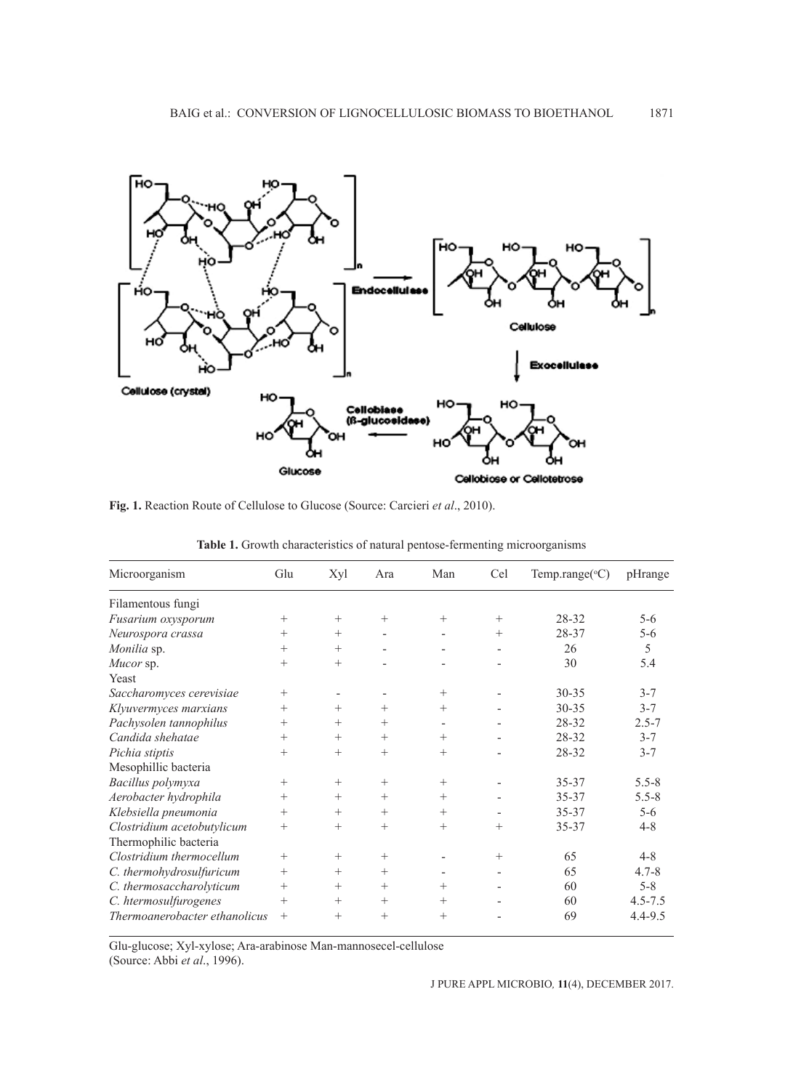

**Fig. 1.** Reaction Route of Cellulose to Glucose (Source: Carcieri *et al*., 2010).

| Microorganism                 | Glu    | Xyl    | Ara    | Man                      | Cel    | Temp.range( ${}^{\circ}$ C) | pHrange     |
|-------------------------------|--------|--------|--------|--------------------------|--------|-----------------------------|-------------|
| Filamentous fungi             |        |        |        |                          |        |                             |             |
| Fusarium oxysporum            | $^{+}$ | $+$    | $+$    | $+$                      | $+$    | 28-32                       | $5 - 6$     |
| Neurospora crassa             | $^{+}$ | $^{+}$ |        | $\overline{\phantom{0}}$ | $^{+}$ | 28-37                       | $5 - 6$     |
| Monilia sp.                   | $^{+}$ | $^{+}$ |        |                          |        | 26                          | 5           |
| Mucor sp.                     | $^{+}$ | $^{+}$ |        |                          |        | 30                          | 5.4         |
| Yeast                         |        |        |        |                          |        |                             |             |
| Saccharomyces cerevisiae      | $+$    |        |        | $+$                      |        | $30 - 35$                   | $3 - 7$     |
| Klyuvermyces marxians         | $^{+}$ | $^{+}$ | $+$    | $+$                      |        | $30 - 35$                   | $3 - 7$     |
| Pachysolen tannophilus        | $^{+}$ | $^{+}$ | $^{+}$ | $\overline{\phantom{0}}$ |        | 28-32                       | $2.5 - 7$   |
| Candida shehatae              | $^{+}$ | $^{+}$ | $^{+}$ | $+$                      |        | 28-32                       | $3 - 7$     |
| Pichia stiptis                | $^{+}$ | $+$    | $+$    | $+$                      |        | 28-32                       | $3 - 7$     |
| Mesophillic bacteria          |        |        |        |                          |        |                             |             |
| Bacillus polymyxa             | $^{+}$ | $^{+}$ | $^{+}$ | $+$                      |        | $35 - 37$                   | $5.5 - 8$   |
| Aerobacter hydrophila         | $+$    | $^{+}$ | $+$    | $+$                      |        | 35-37                       | $5.5 - 8$   |
| Klebsiella pneumonia          | $^{+}$ | $^{+}$ | $^{+}$ | $+$                      |        | $35 - 37$                   | $5-6$       |
| Clostridium acetobutylicum    | $+$    | $^{+}$ | $^{+}$ | $+$                      | $^{+}$ | 35-37                       | $4 - 8$     |
| Thermophilic bacteria         |        |        |        |                          |        |                             |             |
| Clostridium thermocellum      | $+$    | $^{+}$ | $+$    |                          | $^{+}$ | 65                          | $4 - 8$     |
| C. thermohydrosulfuricum      | $^{+}$ | $^{+}$ | $^{+}$ |                          |        | 65                          | $4.7 - 8$   |
| C. thermosaccharolyticum      | $^{+}$ | $^{+}$ | $^{+}$ | $+$                      |        | 60                          | $5 - 8$     |
| C. htermosulfurogenes         | $^{+}$ | $^{+}$ | $^{+}$ | $+$                      |        | 60                          | $4.5 - 7.5$ |
| Thermoanerobacter ethanolicus | $^{+}$ | $^{+}$ | $+$    | $^{+}$                   |        | 69                          | $4.4 - 9.5$ |

**Table 1.** Growth characteristics of natural pentose-fermenting microorganisms

Glu-glucose; Xyl-xylose; Ara-arabinose Man-mannosecel-cellulose

(Source: Abbi *et al*., 1996).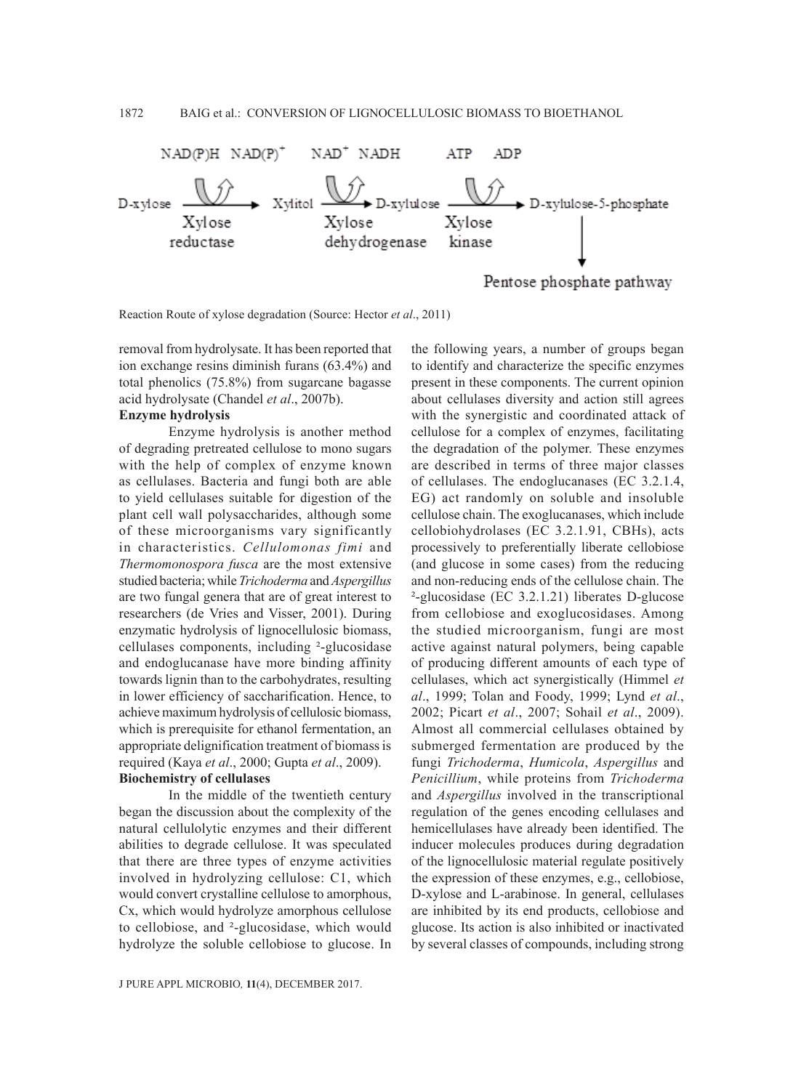

Reaction Route of xylose degradation (Source: Hector *et al*., 2011)

removal from hydrolysate. It has been reported that ion exchange resins diminish furans (63.4%) and total phenolics (75.8%) from sugarcane bagasse acid hydrolysate (Chandel *et al*., 2007b).

### **Enzyme hydrolysis**

Enzyme hydrolysis is another method of degrading pretreated cellulose to mono sugars with the help of complex of enzyme known as cellulases. Bacteria and fungi both are able to yield cellulases suitable for digestion of the plant cell wall polysaccharides, although some of these microorganisms vary significantly in characteristics. *Cellulomonas fimi* and *Thermomonospora fusca* are the most extensive studied bacteria; while *Trichoderma* and *Aspergillus* are two fungal genera that are of great interest to researchers (de Vries and Visser, 2001). During enzymatic hydrolysis of lignocellulosic biomass, cellulases components, including ²-glucosidase and endoglucanase have more binding affinity towards lignin than to the carbohydrates, resulting in lower efficiency of saccharification. Hence, to achieve maximum hydrolysis of cellulosic biomass, which is prerequisite for ethanol fermentation, an appropriate delignification treatment of biomass is required (Kaya *et al*., 2000; Gupta *et al*., 2009).

# **Biochemistry of cellulases**

In the middle of the twentieth century began the discussion about the complexity of the natural cellulolytic enzymes and their different abilities to degrade cellulose. It was speculated that there are three types of enzyme activities involved in hydrolyzing cellulose: C1, which would convert crystalline cellulose to amorphous, Cx, which would hydrolyze amorphous cellulose to cellobiose, and ²-glucosidase, which would hydrolyze the soluble cellobiose to glucose. In

the following years, a number of groups began to identify and characterize the specific enzymes present in these components. The current opinion about cellulases diversity and action still agrees with the synergistic and coordinated attack of cellulose for a complex of enzymes, facilitating the degradation of the polymer. These enzymes are described in terms of three major classes of cellulases. The endoglucanases (EC 3.2.1.4, EG) act randomly on soluble and insoluble cellulose chain. The exoglucanases, which include cellobiohydrolases (EC 3.2.1.91, CBHs), acts processively to preferentially liberate cellobiose (and glucose in some cases) from the reducing and non-reducing ends of the cellulose chain. The ²-glucosidase (EC 3.2.1.21) liberates D-glucose from cellobiose and exoglucosidases. Among the studied microorganism, fungi are most active against natural polymers, being capable of producing different amounts of each type of cellulases, which act synergistically (Himmel *et al*., 1999; Tolan and Foody, 1999; Lynd *et al*., 2002; Picart *et al*., 2007; Sohail *et al*., 2009). Almost all commercial cellulases obtained by submerged fermentation are produced by the fungi *Trichoderma*, *Humicola*, *Aspergillus* and *Penicillium*, while proteins from *Trichoderma* and *Aspergillus* involved in the transcriptional regulation of the genes encoding cellulases and hemicellulases have already been identified. The inducer molecules produces during degradation of the lignocellulosic material regulate positively the expression of these enzymes, e.g., cellobiose, D-xylose and L-arabinose. In general, cellulases are inhibited by its end products, cellobiose and glucose. Its action is also inhibited or inactivated by several classes of compounds, including strong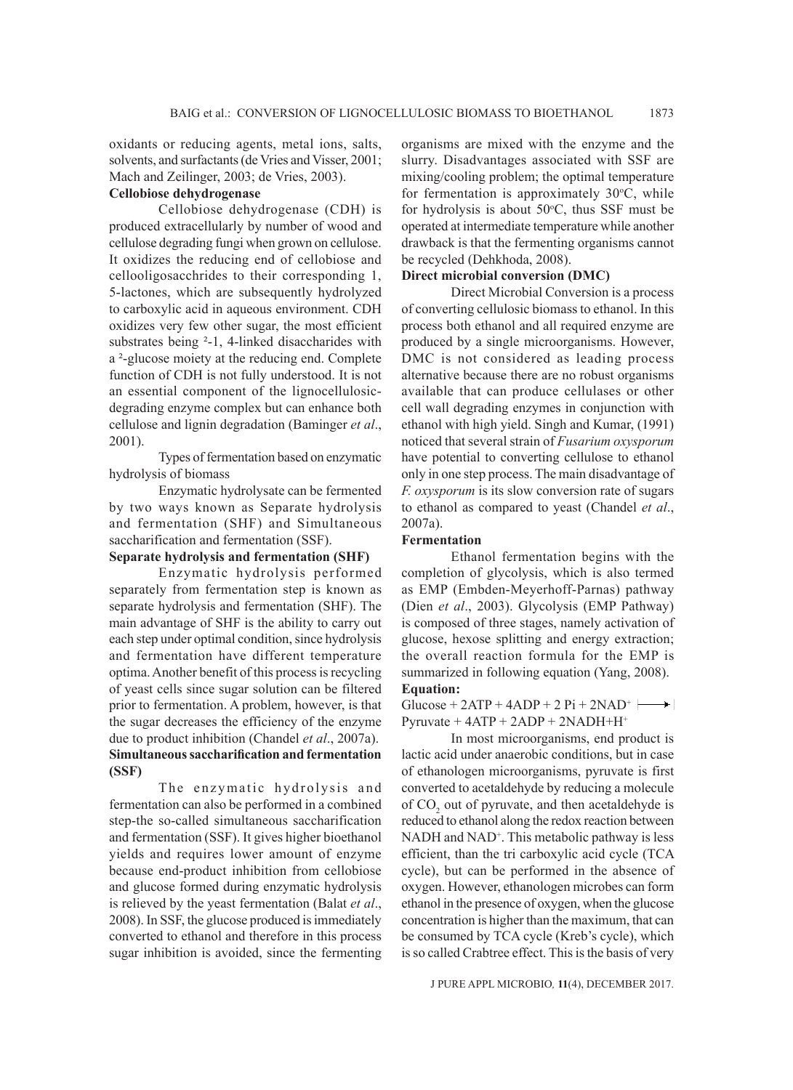oxidants or reducing agents, metal ions, salts, solvents, and surfactants (de Vries and Visser, 2001; Mach and Zeilinger, 2003; de Vries, 2003).

# **Cellobiose dehydrogenase**

Cellobiose dehydrogenase (CDH) is produced extracellularly by number of wood and cellulose degrading fungi when grown on cellulose. It oxidizes the reducing end of cellobiose and cellooligosacchrides to their corresponding 1, 5-lactones, which are subsequently hydrolyzed to carboxylic acid in aqueous environment. CDH oxidizes very few other sugar, the most efficient substrates being <sup>2</sup>-1, 4-linked disaccharides with a ²-glucose moiety at the reducing end. Complete function of CDH is not fully understood. It is not an essential component of the lignocellulosicdegrading enzyme complex but can enhance both cellulose and lignin degradation (Baminger *et al*., 2001).

Types of fermentation based on enzymatic hydrolysis of biomass

Enzymatic hydrolysate can be fermented by two ways known as Separate hydrolysis and fermentation (SHF) and Simultaneous saccharification and fermentation (SSF).

# **Separate hydrolysis and fermentation (SHF)**

Enzymatic hydrolysis performed separately from fermentation step is known as separate hydrolysis and fermentation (SHF). The main advantage of SHF is the ability to carry out each step under optimal condition, since hydrolysis and fermentation have different temperature optima. Another benefit of this process is recycling of yeast cells since sugar solution can be filtered prior to fermentation. A problem, however, is that the sugar decreases the efficiency of the enzyme due to product inhibition (Chandel *et al*., 2007a). **Simultaneous saccharification and fermentation (SSF)**

The enzymatic hydrolysis and fermentation can also be performed in a combined step-the so-called simultaneous saccharification and fermentation (SSF). It gives higher bioethanol yields and requires lower amount of enzyme because end-product inhibition from cellobiose and glucose formed during enzymatic hydrolysis is relieved by the yeast fermentation (Balat *et al*., 2008). In SSF, the glucose produced is immediately converted to ethanol and therefore in this process sugar inhibition is avoided, since the fermenting

organisms are mixed with the enzyme and the slurry. Disadvantages associated with SSF are mixing/cooling problem; the optimal temperature for fermentation is approximately  $30^{\circ}$ C, while for hydrolysis is about  $50^{\circ}$ C, thus SSF must be operated at intermediate temperature while another drawback is that the fermenting organisms cannot be recycled (Dehkhoda, 2008).

### **Direct microbial conversion (DMC)**

Direct Microbial Conversion is a process of converting cellulosic biomass to ethanol. In this process both ethanol and all required enzyme are produced by a single microorganisms. However, DMC is not considered as leading process alternative because there are no robust organisms available that can produce cellulases or other cell wall degrading enzymes in conjunction with ethanol with high yield. Singh and Kumar, (1991) noticed that several strain of *Fusarium oxysporum* have potential to converting cellulose to ethanol only in one step process. The main disadvantage of *F. oxysporum* is its slow conversion rate of sugars to ethanol as compared to yeast (Chandel *et al*., 2007a).

#### **Fermentation**

Ethanol fermentation begins with the completion of glycolysis, which is also termed as EMP (Embden-Meyerhoff-Parnas) pathway (Dien *et al*., 2003). Glycolysis (EMP Pathway) is composed of three stages, namely activation of glucose, hexose splitting and energy extraction; the overall reaction formula for the EMP is summarized in following equation (Yang, 2008). **Equation:**

 $Glucose + 2ATP + 4ADP + 2 Pi + 2NAD<sup>+</sup>$ Pyruvate  $+4ATP + 2ADP + 2NADH + H^+$ 

In most microorganisms, end product is lactic acid under anaerobic conditions, but in case of ethanologen microorganisms, pyruvate is first converted to acetaldehyde by reducing a molecule of  $CO<sub>2</sub>$  out of pyruvate, and then acetaldehyde is reduced to ethanol along the redox reaction between NADH and NAD<sup>+</sup>. This metabolic pathway is less efficient, than the tri carboxylic acid cycle (TCA cycle), but can be performed in the absence of oxygen. However, ethanologen microbes can form ethanol in the presence of oxygen, when the glucose concentration is higher than the maximum, that can be consumed by TCA cycle (Kreb's cycle), which is so called Crabtree effect. This is the basis of very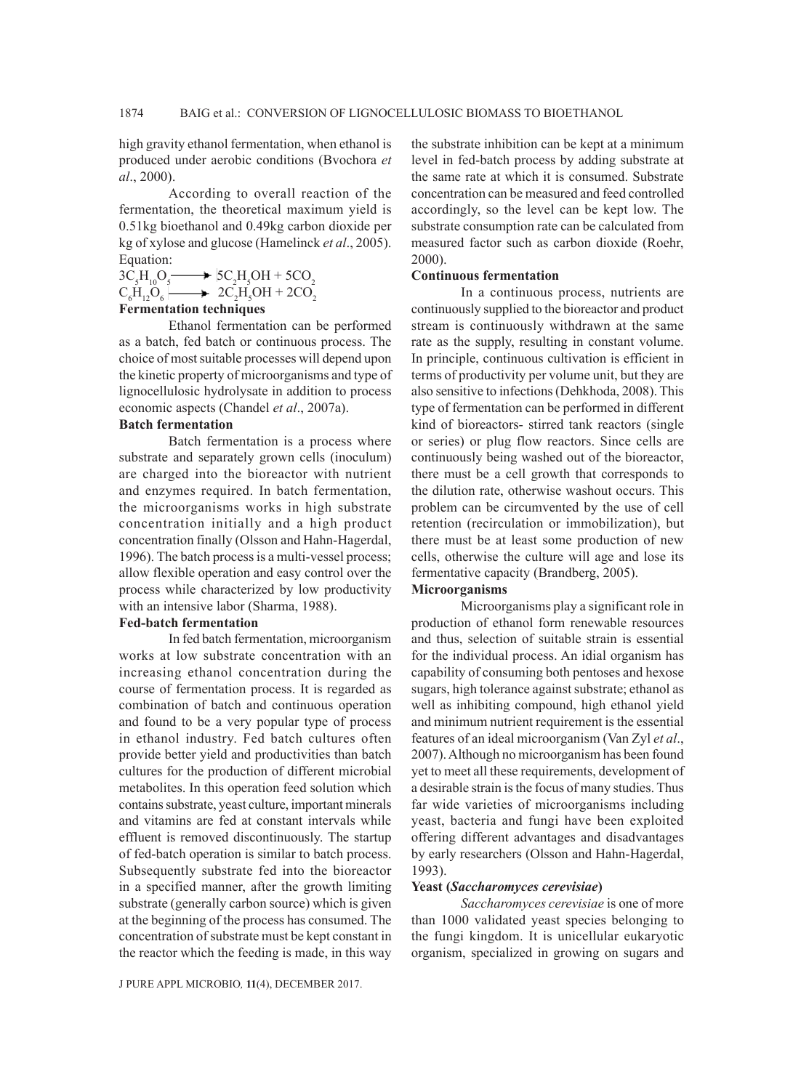high gravity ethanol fermentation, when ethanol is produced under aerobic conditions (Bvochora *et al*., 2000).

According to overall reaction of the fermentation, the theoretical maximum yield is 0.51kg bioethanol and 0.49kg carbon dioxide per kg of xylose and glucose (Hamelinck *et al*., 2005). Equation:

 $3C_5H_{10}O_5$  $H_{10}O_5 \longrightarrow 5C_2H_5OH + 5CO_2$ 

$$
C_6H_{12}O_6 \longrightarrow 2C_2H_5OH + 2CO_2
$$

# **Fermentation techniques**

Ethanol fermentation can be performed as a batch, fed batch or continuous process. The choice of most suitable processes will depend upon the kinetic property of microorganisms and type of lignocellulosic hydrolysate in addition to process economic aspects (Chandel *et al*., 2007a).

### **Batch fermentation**

Batch fermentation is a process where substrate and separately grown cells (inoculum) are charged into the bioreactor with nutrient and enzymes required. In batch fermentation, the microorganisms works in high substrate concentration initially and a high product concentration finally (Olsson and Hahn-Hagerdal, 1996). The batch process is a multi-vessel process; allow flexible operation and easy control over the process while characterized by low productivity with an intensive labor (Sharma, 1988).

# **Fed-batch fermentation**

In fed batch fermentation, microorganism works at low substrate concentration with an increasing ethanol concentration during the course of fermentation process. It is regarded as combination of batch and continuous operation and found to be a very popular type of process in ethanol industry. Fed batch cultures often provide better yield and productivities than batch cultures for the production of different microbial metabolites. In this operation feed solution which contains substrate, yeast culture, important minerals and vitamins are fed at constant intervals while effluent is removed discontinuously. The startup of fed-batch operation is similar to batch process. Subsequently substrate fed into the bioreactor in a specified manner, after the growth limiting substrate (generally carbon source) which is given at the beginning of the process has consumed. The concentration of substrate must be kept constant in the reactor which the feeding is made, in this way

J PURE APPL MICROBIO*,* **11**(4), DECEMBER 2017.

the substrate inhibition can be kept at a minimum level in fed-batch process by adding substrate at the same rate at which it is consumed. Substrate concentration can be measured and feed controlled accordingly, so the level can be kept low. The substrate consumption rate can be calculated from measured factor such as carbon dioxide (Roehr, 2000).

#### **Continuous fermentation**

In a continuous process, nutrients are continuously supplied to the bioreactor and product stream is continuously withdrawn at the same rate as the supply, resulting in constant volume. In principle, continuous cultivation is efficient in terms of productivity per volume unit, but they are also sensitive to infections (Dehkhoda, 2008). This type of fermentation can be performed in different kind of bioreactors- stirred tank reactors (single or series) or plug flow reactors. Since cells are continuously being washed out of the bioreactor, there must be a cell growth that corresponds to the dilution rate, otherwise washout occurs. This problem can be circumvented by the use of cell retention (recirculation or immobilization), but there must be at least some production of new cells, otherwise the culture will age and lose its fermentative capacity (Brandberg, 2005).

### **Microorganisms**

Microorganisms play a significant role in production of ethanol form renewable resources and thus, selection of suitable strain is essential for the individual process. An idial organism has capability of consuming both pentoses and hexose sugars, high tolerance against substrate; ethanol as well as inhibiting compound, high ethanol yield and minimum nutrient requirement is the essential features of an ideal microorganism (Van Zyl *et al*., 2007). Although no microorganism has been found yet to meet all these requirements, development of a desirable strain is the focus of many studies. Thus far wide varieties of microorganisms including yeast, bacteria and fungi have been exploited offering different advantages and disadvantages by early researchers (Olsson and Hahn-Hagerdal, 1993).

#### **Yeast (***Saccharomyces cerevisiae***)**

*Saccharomyces cerevisiae* is one of more than 1000 validated yeast species belonging to the fungi kingdom. It is unicellular eukaryotic organism, specialized in growing on sugars and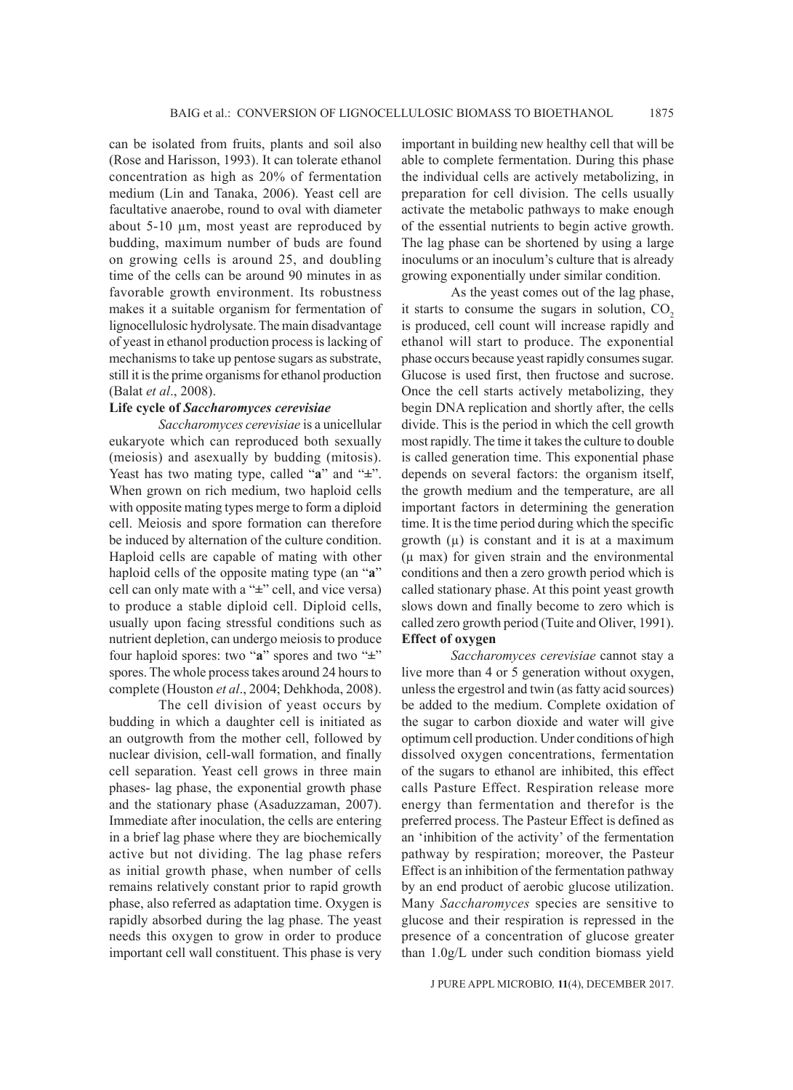can be isolated from fruits, plants and soil also (Rose and Harisson, 1993). It can tolerate ethanol concentration as high as 20% of fermentation medium (Lin and Tanaka, 2006). Yeast cell are facultative anaerobe, round to oval with diameter about 5-10 µm, most yeast are reproduced by budding, maximum number of buds are found on growing cells is around 25, and doubling time of the cells can be around 90 minutes in as favorable growth environment. Its robustness makes it a suitable organism for fermentation of lignocellulosic hydrolysate. The main disadvantage of yeast in ethanol production process is lacking of mechanisms to take up pentose sugars as substrate, still it is the prime organisms for ethanol production (Balat *et al*., 2008).

## **Life cycle of** *Saccharomyces cerevisiae*

*Saccharomyces cerevisiae* is a unicellular eukaryote which can reproduced both sexually (meiosis) and asexually by budding (mitosis). Yeast has two mating type, called "**a**" and "**±**". When grown on rich medium, two haploid cells with opposite mating types merge to form a diploid cell. Meiosis and spore formation can therefore be induced by alternation of the culture condition. Haploid cells are capable of mating with other haploid cells of the opposite mating type (an "**a**" cell can only mate with a "**±**" cell, and vice versa) to produce a stable diploid cell. Diploid cells, usually upon facing stressful conditions such as nutrient depletion, can undergo meiosis to produce four haploid spores: two "**a**" spores and two "**±**" spores. The whole process takes around 24 hours to complete (Houston *et al*., 2004; Dehkhoda, 2008).

The cell division of yeast occurs by budding in which a daughter cell is initiated as an outgrowth from the mother cell, followed by nuclear division, cell-wall formation, and finally cell separation. Yeast cell grows in three main phases- lag phase, the exponential growth phase and the stationary phase (Asaduzzaman, 2007). Immediate after inoculation, the cells are entering in a brief lag phase where they are biochemically active but not dividing. The lag phase refers as initial growth phase, when number of cells remains relatively constant prior to rapid growth phase, also referred as adaptation time. Oxygen is rapidly absorbed during the lag phase. The yeast needs this oxygen to grow in order to produce important cell wall constituent. This phase is very important in building new healthy cell that will be able to complete fermentation. During this phase the individual cells are actively metabolizing, in preparation for cell division. The cells usually activate the metabolic pathways to make enough of the essential nutrients to begin active growth. The lag phase can be shortened by using a large inoculums or an inoculum's culture that is already growing exponentially under similar condition.

As the yeast comes out of the lag phase, it starts to consume the sugars in solution,  $CO<sub>2</sub>$ is produced, cell count will increase rapidly and ethanol will start to produce. The exponential phase occurs because yeast rapidly consumes sugar. Glucose is used first, then fructose and sucrose. Once the cell starts actively metabolizing, they begin DNA replication and shortly after, the cells divide. This is the period in which the cell growth most rapidly. The time it takes the culture to double is called generation time. This exponential phase depends on several factors: the organism itself, the growth medium and the temperature, are all important factors in determining the generation time. It is the time period during which the specific growth  $(\mu)$  is constant and it is at a maximum  $(\mu$  max) for given strain and the environmental conditions and then a zero growth period which is called stationary phase. At this point yeast growth slows down and finally become to zero which is called zero growth period (Tuite and Oliver, 1991). **Effect of oxygen**

*Saccharomyces cerevisiae* cannot stay a live more than 4 or 5 generation without oxygen, unless the ergestrol and twin (as fatty acid sources) be added to the medium. Complete oxidation of the sugar to carbon dioxide and water will give optimum cell production. Under conditions of high dissolved oxygen concentrations, fermentation of the sugars to ethanol are inhibited, this effect calls Pasture Effect. Respiration release more energy than fermentation and therefor is the preferred process. The Pasteur Effect is defined as an 'inhibition of the activity' of the fermentation pathway by respiration; moreover, the Pasteur Effect is an inhibition of the fermentation pathway by an end product of aerobic glucose utilization. Many *Saccharomyces* species are sensitive to glucose and their respiration is repressed in the presence of a concentration of glucose greater than 1.0g/L under such condition biomass yield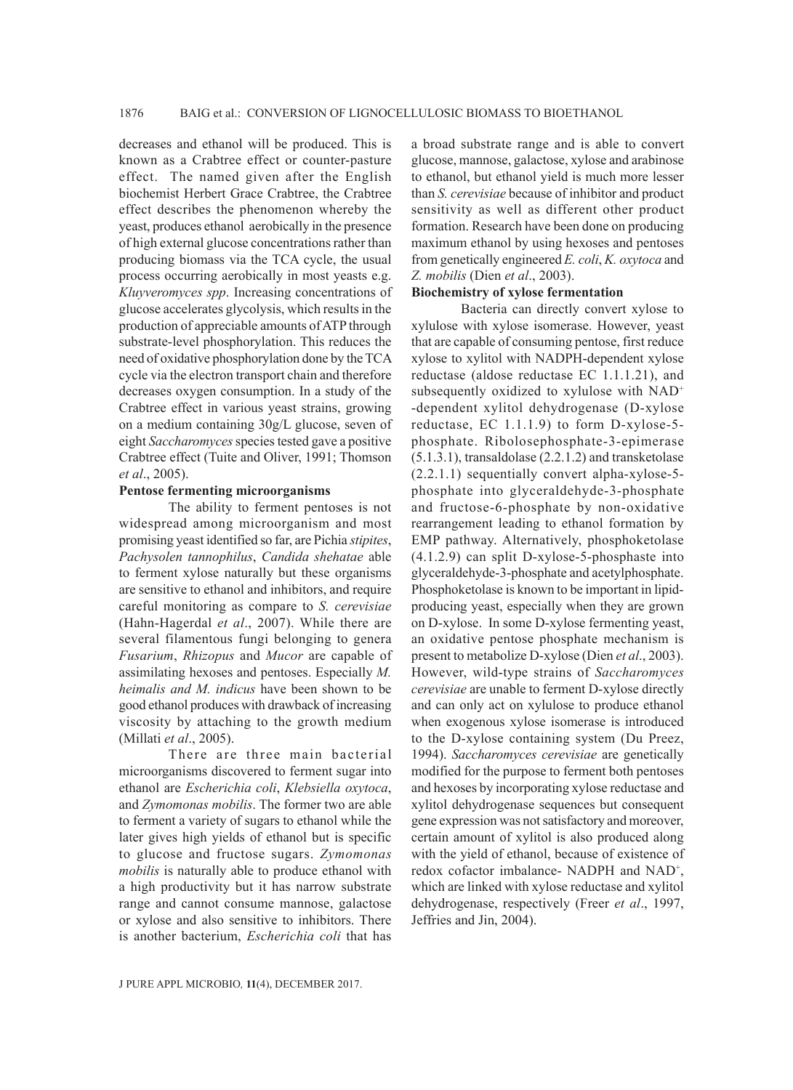decreases and ethanol will be produced. This is known as a Crabtree effect or counter-pasture effect. The named given after the English biochemist Herbert Grace Crabtree, the Crabtree effect describes the phenomenon whereby the yeast, produces ethanol aerobically in the presence of high external glucose concentrations rather than producing biomass via the TCA cycle, the usual process occurring aerobically in most yeasts e.g. *Kluyveromyces spp*. Increasing concentrations of glucose accelerates glycolysis, which results in the production of appreciable amounts of ATP through substrate-level phosphorylation. This reduces the need of oxidative phosphorylation done by the TCA cycle via the electron transport chain and therefore decreases oxygen consumption. In a study of the Crabtree effect in various yeast strains, growing on a medium containing 30g/L glucose, seven of eight *Saccharomyces* species tested gave a positive Crabtree effect (Tuite and Oliver, 1991; Thomson *et al*., 2005).

### **Pentose fermenting microorganisms**

The ability to ferment pentoses is not widespread among microorganism and most promising yeast identified so far, are Pichia *stipites*, *Pachysolen tannophilus*, *Candida shehatae* able to ferment xylose naturally but these organisms are sensitive to ethanol and inhibitors, and require careful monitoring as compare to *S. cerevisiae* (Hahn-Hagerdal *et al*., 2007). While there are several filamentous fungi belonging to genera *Fusarium*, *Rhizopus* and *Mucor* are capable of assimilating hexoses and pentoses. Especially *M. heimalis and M. indicus* have been shown to be good ethanol produces with drawback of increasing viscosity by attaching to the growth medium (Millati *et al*., 2005).

There are three main bacterial microorganisms discovered to ferment sugar into ethanol are *Escherichia coli*, *Klebsiella oxytoca*, and *Zymomonas mobilis*. The former two are able to ferment a variety of sugars to ethanol while the later gives high yields of ethanol but is specific to glucose and fructose sugars. *Zymomonas mobilis* is naturally able to produce ethanol with a high productivity but it has narrow substrate range and cannot consume mannose, galactose or xylose and also sensitive to inhibitors. There is another bacterium, *Escherichia coli* that has a broad substrate range and is able to convert glucose, mannose, galactose, xylose and arabinose to ethanol, but ethanol yield is much more lesser than *S. cerevisiae* because of inhibitor and product sensitivity as well as different other product formation. Research have been done on producing maximum ethanol by using hexoses and pentoses from genetically engineered *E. coli*, *K. oxytoca* and *Z. mobilis* (Dien *et al*., 2003).

### **Biochemistry of xylose fermentation**

Bacteria can directly convert xylose to xylulose with xylose isomerase. However, yeast that are capable of consuming pentose, first reduce xylose to xylitol with NADPH-dependent xylose reductase (aldose reductase EC 1.1.1.21), and subsequently oxidized to xylulose with NAD<sup>+</sup> -dependent xylitol dehydrogenase (D-xylose reductase, EC 1.1.1.9) to form D-xylose-5 phosphate. Ribolosephosphate-3-epimerase (5.1.3.1), transaldolase (2.2.1.2) and transketolase (2.2.1.1) sequentially convert alpha-xylose-5 phosphate into glyceraldehyde-3-phosphate and fructose-6-phosphate by non-oxidative rearrangement leading to ethanol formation by EMP pathway. Alternatively, phosphoketolase (4.1.2.9) can split D-xylose-5-phosphaste into glyceraldehyde-3-phosphate and acetylphosphate. Phosphoketolase is known to be important in lipidproducing yeast, especially when they are grown on D-xylose. In some D-xylose fermenting yeast, an oxidative pentose phosphate mechanism is present to metabolize D-xylose (Dien *et al*., 2003). However, wild-type strains of *Saccharomyces cerevisiae* are unable to ferment D-xylose directly and can only act on xylulose to produce ethanol when exogenous xylose isomerase is introduced to the D-xylose containing system (Du Preez, 1994). *Saccharomyces cerevisiae* are genetically modified for the purpose to ferment both pentoses and hexoses by incorporating xylose reductase and xylitol dehydrogenase sequences but consequent gene expression was not satisfactory and moreover, certain amount of xylitol is also produced along with the yield of ethanol, because of existence of redox cofactor imbalance- NADPH and NAD<sup>+</sup>, which are linked with xylose reductase and xylitol dehydrogenase, respectively (Freer *et al*., 1997, Jeffries and Jin, 2004).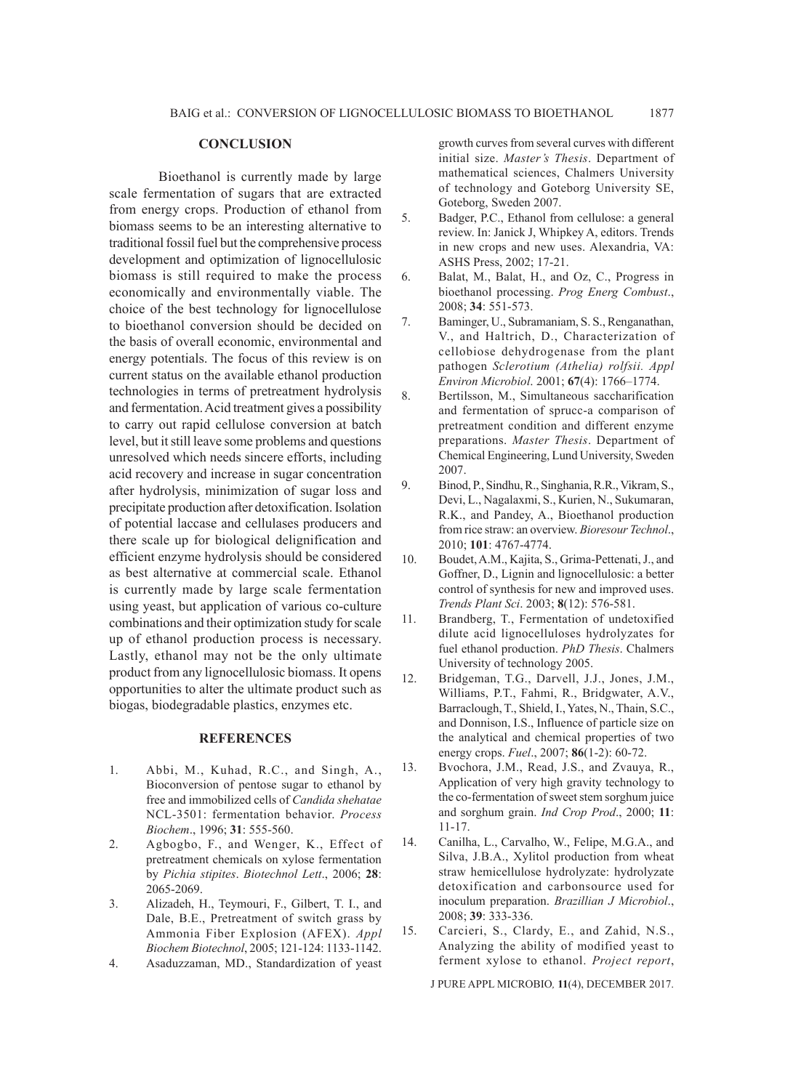### **CONCLUSION**

Bioethanol is currently made by large scale fermentation of sugars that are extracted from energy crops. Production of ethanol from biomass seems to be an interesting alternative to traditional fossil fuel but the comprehensive process development and optimization of lignocellulosic biomass is still required to make the process economically and environmentally viable. The choice of the best technology for lignocellulose to bioethanol conversion should be decided on the basis of overall economic, environmental and energy potentials. The focus of this review is on current status on the available ethanol production technologies in terms of pretreatment hydrolysis and fermentation. Acid treatment gives a possibility to carry out rapid cellulose conversion at batch level, but it still leave some problems and questions unresolved which needs sincere efforts, including acid recovery and increase in sugar concentration after hydrolysis, minimization of sugar loss and precipitate production after detoxification. Isolation of potential laccase and cellulases producers and there scale up for biological delignification and efficient enzyme hydrolysis should be considered as best alternative at commercial scale. Ethanol is currently made by large scale fermentation using yeast, but application of various co-culture combinations and their optimization study for scale up of ethanol production process is necessary. Lastly, ethanol may not be the only ultimate product from any lignocellulosic biomass. It opens opportunities to alter the ultimate product such as biogas, biodegradable plastics, enzymes etc.

#### **REFERENCES**

- 1. Abbi, M., Kuhad, R.C., and Singh, A., Bioconversion of pentose sugar to ethanol by free and immobilized cells of *Candida shehatae*  NCL-3501: fermentation behavior. *Process Biochem*., 1996; **31**: 555-560.
- 2. Agbogbo, F., and Wenger, K., Effect of pretreatment chemicals on xylose fermentation by *Pichia stipites*. *Biotechnol Lett*., 2006; **28**: 2065-2069.
- 3. Alizadeh, H., Teymouri, F., Gilbert, T. I., and Dale, B.E., Pretreatment of switch grass by Ammonia Fiber Explosion (AFEX). *Appl Biochem Biotechnol*, 2005; 121-124: 1133-1142.
- 4. Asaduzzaman, MD., Standardization of yeast

growth curves from several curves with different initial size. *Master's Thesis*. Department of mathematical sciences, Chalmers University of technology and Goteborg University SE, Goteborg, Sweden 2007.

- 5. Badger, P.C., Ethanol from cellulose: a general review. In: Janick J, Whipkey A, editors. Trends in new crops and new uses. Alexandria, VA: ASHS Press, 2002; 17-21.
- 6. Balat, M., Balat, H., and Oz, C., Progress in bioethanol processing. *Prog Energ Combust*., 2008; **34**: 551-573.
- 7. Baminger, U., Subramaniam, S. S., Renganathan, V., and Haltrich, D., Characterization of cellobiose dehydrogenase from the plant pathogen *Sclerotium (Athelia) rolfsii. Appl Environ Microbiol*. 2001; **67**(4): 1766–1774.
- 8. Bertilsson, M., Simultaneous saccharification and fermentation of sprucc-a comparison of pretreatment condition and different enzyme preparations. *Master Thesis*. Department of Chemical Engineering, Lund University, Sweden 2007.
- 9. Binod, P., Sindhu, R., Singhania, R.R., Vikram, S., Devi, L., Nagalaxmi, S., Kurien, N., Sukumaran, R.K., and Pandey, A., Bioethanol production from rice straw: an overview. *Bioresour Technol*., 2010; **101**: 4767-4774.
- 10. Boudet, A.M., Kajita, S., Grima-Pettenati, J., and Goffner, D., Lignin and lignocellulosic: a better control of synthesis for new and improved uses. *Trends Plant Sci*. 2003; **8**(12): 576-581.
- 11. Brandberg, T., Fermentation of undetoxified dilute acid lignocelluloses hydrolyzates for fuel ethanol production. *PhD Thesis*. Chalmers University of technology 2005.
- 12. Bridgeman, T.G., Darvell, J.J., Jones, J.M., Williams, P.T., Fahmi, R., Bridgwater, A.V., Barraclough, T., Shield, I., Yates, N., Thain, S.C., and Donnison, I.S., Influence of particle size on the analytical and chemical properties of two energy crops. *Fuel*., 2007; **86**(1-2): 60-72.
- 13. Bvochora, J.M., Read, J.S., and Zvauya, R., Application of very high gravity technology to the co-fermentation of sweet stem sorghum juice and sorghum grain. *Ind Crop Prod*., 2000; **11**: 11-17.
- 14. Canilha, L., Carvalho, W., Felipe, M.G.A., and Silva, J.B.A., Xylitol production from wheat straw hemicellulose hydrolyzate: hydrolyzate detoxification and carbonsource used for inoculum preparation. *Brazillian J Microbiol*., 2008; **39**: 333-336.
- 15. Carcieri, S., Clardy, E., and Zahid, N.S., Analyzing the ability of modified yeast to ferment xylose to ethanol. *Project report*,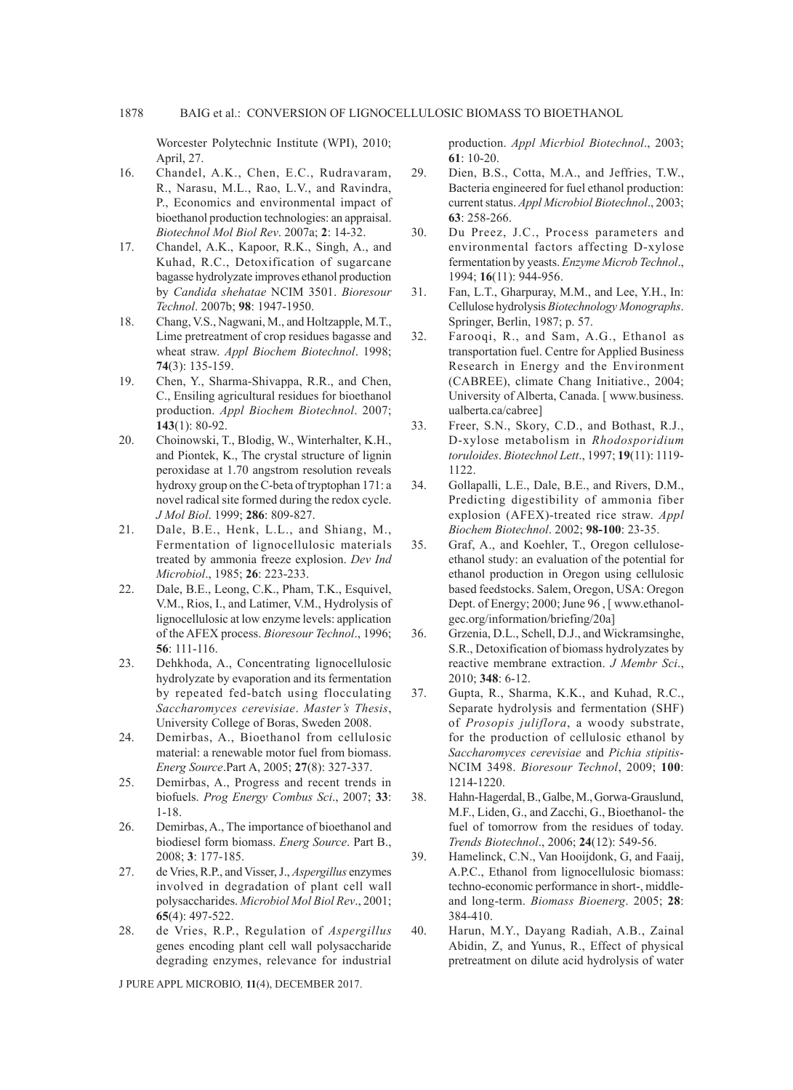Worcester Polytechnic Institute (WPI), 2010; April, 27.

- 16. Chandel, A.K., Chen, E.C., Rudravaram, R., Narasu, M.L., Rao, L.V., and Ravindra, P., Economics and environmental impact of bioethanol production technologies: an appraisal. *Biotechnol Mol Biol Rev*. 2007a; **2**: 14-32.
- 17. Chandel, A.K., Kapoor, R.K., Singh, A., and Kuhad, R.C., Detoxification of sugarcane bagasse hydrolyzate improves ethanol production by *Candida shehatae* NCIM 3501. *Bioresour Technol*. 2007b; **98**: 1947-1950.
- 18. Chang, V.S., Nagwani, M., and Holtzapple, M.T., Lime pretreatment of crop residues bagasse and wheat straw. *Appl Biochem Biotechnol*. 1998; **74**(3): 135-159.
- 19. Chen, Y., Sharma-Shivappa, R.R., and Chen, C., Ensiling agricultural residues for bioethanol production. *Appl Biochem Biotechnol*. 2007; **143**(1): 80-92.
- 20. Choinowski, T., Blodig, W., Winterhalter, K.H., and Piontek, K., The crystal structure of lignin peroxidase at 1.70 angstrom resolution reveals hydroxy group on the C-beta of tryptophan 171: a novel radical site formed during the redox cycle. *J Mol Biol*. 1999; **286**: 809-827.
- 21. Dale, B.E., Henk, L.L., and Shiang, M., Fermentation of lignocellulosic materials treated by ammonia freeze explosion. *Dev Ind Microbiol*., 1985; **26**: 223-233.
- 22. Dale, B.E., Leong, C.K., Pham, T.K., Esquivel, V.M., Rios, I., and Latimer, V.M., Hydrolysis of lignocellulosic at low enzyme levels: application of the AFEX process. *Bioresour Technol*., 1996; **56**: 111-116.
- 23. Dehkhoda, A., Concentrating lignocellulosic hydrolyzate by evaporation and its fermentation by repeated fed-batch using flocculating *Saccharomyces cerevisiae*. *Master's Thesis*, University College of Boras, Sweden 2008.
- 24. Demirbas, A., Bioethanol from cellulosic material: a renewable motor fuel from biomass. *Energ Source*.Part A, 2005; **27**(8): 327-337.
- 25. Demirbas, A., Progress and recent trends in biofuels. *Prog Energy Combus Sci*., 2007; **33**: 1-18.
- 26. Demirbas, A., The importance of bioethanol and biodiesel form biomass. *Energ Source*. Part B., 2008; **3**: 177-185.
- 27. de Vries, R.P., and Visser, J., *Aspergillus* enzymes involved in degradation of plant cell wall polysaccharides. *Microbiol Mol Biol Rev*., 2001; **65**(4): 497-522.
- 28. de Vries, R.P., Regulation of *Aspergillus* genes encoding plant cell wall polysaccharide degrading enzymes, relevance for industrial

J PURE APPL MICROBIO*,* **11**(4), DECEMBER 2017.

production. *Appl Micrbiol Biotechnol*., 2003; **61**: 10-20.

- 29. Dien, B.S., Cotta, M.A., and Jeffries, T.W., Bacteria engineered for fuel ethanol production: current status. *Appl Microbiol Biotechnol*., 2003; **63**: 258-266.
- 30. Du Preez, J.C., Process parameters and environmental factors affecting D-xylose fermentation by yeasts. *Enzyme Microb Technol*., 1994; **16**(11): 944-956.
- 31. Fan, L.T., Gharpuray, M.M., and Lee, Y.H., In: Cellulose hydrolysis *Biotechnology Monographs*. Springer, Berlin, 1987; p. 57.
- 32. Farooqi, R., and Sam, A.G., Ethanol as transportation fuel. Centre for Applied Business Research in Energy and the Environment (CABREE), climate Chang Initiative., 2004; University of Alberta, Canada. [ www.business. ualberta.ca/cabree]
- 33. Freer, S.N., Skory, C.D., and Bothast, R.J., D-xylose metabolism in *Rhodosporidium toruloides*. *Biotechnol Lett*., 1997; **19**(11): 1119- 1122.
- 34. Gollapalli, L.E., Dale, B.E., and Rivers, D.M., Predicting digestibility of ammonia fiber explosion (AFEX)-treated rice straw. *Appl Biochem Biotechnol*. 2002; **98-100**: 23-35.
- 35. Graf, A., and Koehler, T., Oregon celluloseethanol study: an evaluation of the potential for ethanol production in Oregon using cellulosic based feedstocks. Salem, Oregon, USA: Oregon Dept. of Energy; 2000; June 96 , [ www.ethanolgec.org/information/briefing/20a]
- 36. Grzenia, D.L., Schell, D.J., and Wickramsinghe, S.R., Detoxification of biomass hydrolyzates by reactive membrane extraction. *J Membr Sci*., 2010; **348**: 6-12.
- 37. Gupta, R., Sharma, K.K., and Kuhad, R.C., Separate hydrolysis and fermentation (SHF) of *Prosopis juliflora*, a woody substrate, for the production of cellulosic ethanol by *Saccharomyces cerevisiae* and *Pichia stipitis*-NCIM 3498. *Bioresour Technol*, 2009; **100**: 1214-1220.
- 38. Hahn-Hagerdal, B., Galbe, M., Gorwa-Grauslund, M.F., Liden, G., and Zacchi, G., Bioethanol- the fuel of tomorrow from the residues of today. *Trends Biotechnol*., 2006; **24**(12): 549-56.
- 39. Hamelinck, C.N., Van Hooijdonk, G, and Faaij, A.P.C., Ethanol from lignocellulosic biomass: techno-economic performance in short-, middleand long-term. *Biomass Bioenerg*. 2005; **28**: 384-410.
- 40. Harun, M.Y., Dayang Radiah, A.B., Zainal Abidin, Z, and Yunus, R., Effect of physical pretreatment on dilute acid hydrolysis of water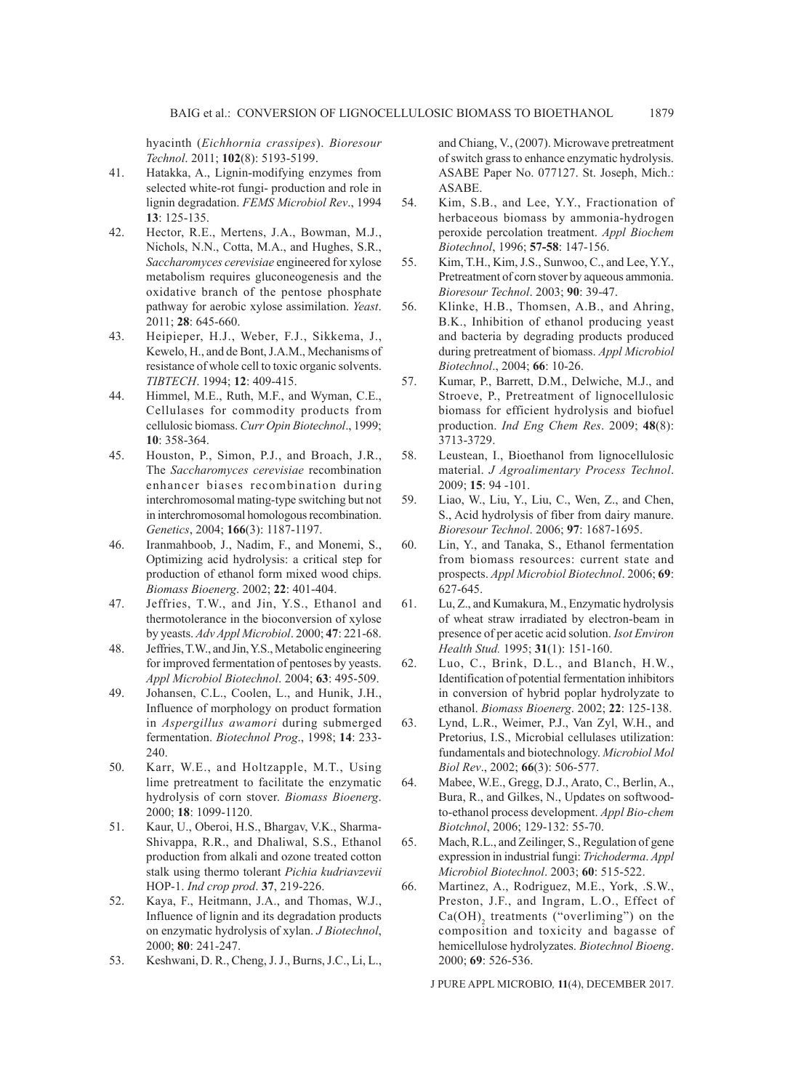hyacinth (*Eichhornia crassipes*). *Bioresour Technol*. 2011; **102**(8): 5193-5199.

- 41. Hatakka, A., Lignin-modifying enzymes from selected white-rot fungi- production and role in lignin degradation. *FEMS Microbiol Rev*., 1994 **13**: 125-135.
- 42. Hector, R.E., Mertens, J.A., Bowman, M.J., Nichols, N.N., Cotta, M.A., and Hughes, S.R., *Saccharomyces cerevisiae* engineered for xylose metabolism requires gluconeogenesis and the oxidative branch of the pentose phosphate pathway for aerobic xylose assimilation. *Yeast*. 2011; **28**: 645-660.
- 43. Heipieper, H.J., Weber, F.J., Sikkema, J., Kewelo, H., and de Bont, J.A.M., Mechanisms of resistance of whole cell to toxic organic solvents. *TIBTECH*. 1994; **12**: 409-415.
- 44. Himmel, M.E., Ruth, M.F., and Wyman, C.E., Cellulases for commodity products from cellulosic biomass. *Curr Opin Biotechnol*., 1999; **10**: 358-364.
- 45. Houston, P., Simon, P.J., and Broach, J.R., The *Saccharomyces cerevisiae* recombination enhancer biases recombination during interchromosomal mating-type switching but not in interchromosomal homologous recombination. *Genetics*, 2004; **166**(3): 1187-1197.
- 46. Iranmahboob, J., Nadim, F., and Monemi, S., Optimizing acid hydrolysis: a critical step for production of ethanol form mixed wood chips. *Biomass Bioenerg*. 2002; **22**: 401-404.
- 47. Jeffries, T.W., and Jin, Y.S., Ethanol and thermotolerance in the bioconversion of xylose by yeasts. *Adv Appl Microbiol*. 2000; **47**: 221-68.
- 48. Jeffries, T.W., and Jin, Y.S., Metabolic engineering for improved fermentation of pentoses by yeasts. *Appl Microbiol Biotechnol*. 2004; **63**: 495-509.
- 49. Johansen, C.L., Coolen, L., and Hunik, J.H., Influence of morphology on product formation in *Aspergillus awamori* during submerged fermentation. *Biotechnol Prog*., 1998; **14**: 233- 240.
- 50. Karr, W.E., and Holtzapple, M.T., Using lime pretreatment to facilitate the enzymatic hydrolysis of corn stover. *Biomass Bioenerg*. 2000; **18**: 1099-1120.
- 51. Kaur, U., Oberoi, H.S., Bhargav, V.K., Sharma-Shivappa, R.R., and Dhaliwal, S.S., Ethanol production from alkali and ozone treated cotton stalk using thermo tolerant *Pichia kudriavzevii* HOP-1. *Ind crop prod*. **37**, 219-226.
- 52. Kaya, F., Heitmann, J.A., and Thomas, W.J., Influence of lignin and its degradation products on enzymatic hydrolysis of xylan. *J Biotechnol*, 2000; **80**: 241-247.
- 53. Keshwani, D. R., Cheng, J. J., Burns, J.C., Li, L.,

and Chiang, V., (2007). Microwave pretreatment of switch grass to enhance enzymatic hydrolysis. ASABE Paper No. 077127. St. Joseph, Mich.: ASABE.

- 54. Kim, S.B., and Lee, Y.Y., Fractionation of herbaceous biomass by ammonia-hydrogen peroxide percolation treatment. *Appl Biochem Biotechnol*, 1996; **57-58**: 147-156.
- 55. Kim, T.H., Kim, J.S., Sunwoo, C., and Lee, Y.Y., Pretreatment of corn stover by aqueous ammonia. *Bioresour Technol*. 2003; **90**: 39-47.
- 56. Klinke, H.B., Thomsen, A.B., and Ahring, B.K., Inhibition of ethanol producing yeast and bacteria by degrading products produced during pretreatment of biomass. *Appl Microbiol Biotechnol*., 2004; **66**: 10-26.
- 57. Kumar, P., Barrett, D.M., Delwiche, M.J., and Stroeve, P., Pretreatment of lignocellulosic biomass for efficient hydrolysis and biofuel production. *Ind Eng Chem Res*. 2009; **48**(8): 3713-3729.
- 58. Leustean, I., Bioethanol from lignocellulosic material. *J Agroalimentary Process Technol*. 2009; **15**: 94 -101.
- 59. Liao, W., Liu, Y., Liu, C., Wen, Z., and Chen, S., Acid hydrolysis of fiber from dairy manure. *Bioresour Technol*. 2006; **97**: 1687-1695.
- 60. Lin, Y., and Tanaka, S., Ethanol fermentation from biomass resources: current state and prospects. *Appl Microbiol Biotechnol*. 2006; **69**: 627-645.
- 61. Lu, Z., and Kumakura, M., Enzymatic hydrolysis of wheat straw irradiated by electron-beam in presence of per acetic acid solution. *Isot Environ Health Stud.* 1995; **31**(1): 151-160.
- 62. Luo, C., Brink, D.L., and Blanch, H.W., Identification of potential fermentation inhibitors in conversion of hybrid poplar hydrolyzate to ethanol. *Biomass Bioenerg*. 2002; **22**: 125-138.
- 63. Lynd, L.R., Weimer, P.J., Van Zyl, W.H., and Pretorius, I.S., Microbial cellulases utilization: fundamentals and biotechnology. *Microbiol Mol Biol Rev*., 2002; **66**(3): 506-577.
- 64. Mabee, W.E., Gregg, D.J., Arato, C., Berlin, A., Bura, R., and Gilkes, N., Updates on softwoodto-ethanol process development. *Appl Bio-chem Biotchnol*, 2006; 129-132: 55-70.
- 65. Mach, R.L., and Zeilinger, S., Regulation of gene expression in industrial fungi: *Trichoderma*. *Appl Microbiol Biotechnol*. 2003; **60**: 515-522.
- 66. Martinez, A., Rodriguez, M.E., York, .S.W., Preston, J.F., and Ingram, L.O., Effect of  $Ca(OH)$ <sub>2</sub> treatments ("overliming") on the composition and toxicity and bagasse of hemicellulose hydrolyzates. *Biotechnol Bioeng*. 2000; **69**: 526-536.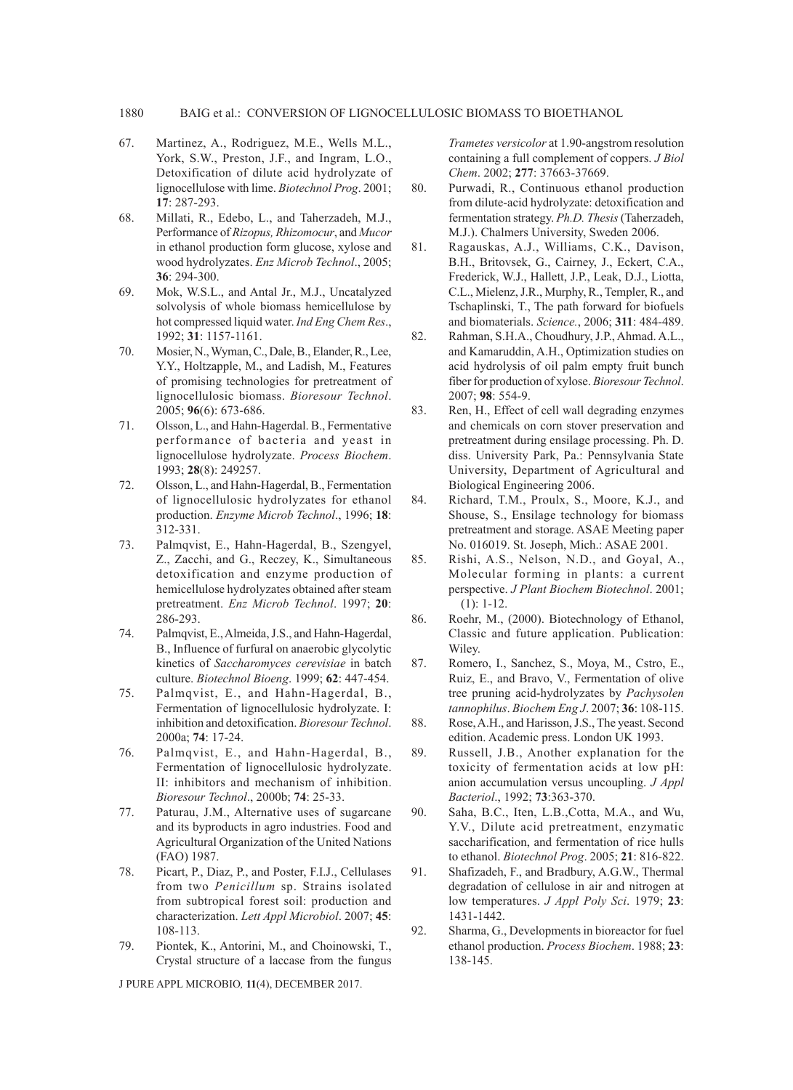### 1880 BAIG et al.: CONVERSION OF LIGNOCELLULOSIC BIOMASS TO BIOETHANOL

- 67. Martinez, A., Rodriguez, M.E., Wells M.L., York, S.W., Preston, J.F., and Ingram, L.O., Detoxification of dilute acid hydrolyzate of lignocellulose with lime. *Biotechnol Prog*. 2001; **17**: 287-293.
- 68. Millati, R., Edebo, L., and Taherzadeh, M.J., Performance of *Rizopus, Rhizomocur*, and *Mucor* in ethanol production form glucose, xylose and wood hydrolyzates. *Enz Microb Technol*., 2005; **36**: 294-300.
- 69. Mok, W.S.L., and Antal Jr., M.J., Uncatalyzed solvolysis of whole biomass hemicellulose by hot compressed liquid water. *Ind Eng Chem Res*., 1992; **31**: 1157-1161.
- 70. Mosier, N., Wyman, C., Dale, B., Elander, R., Lee, Y.Y., Holtzapple, M., and Ladish, M., Features of promising technologies for pretreatment of lignocellulosic biomass. *Bioresour Technol*. 2005; **96**(6): 673-686.
- 71. Olsson, L., and Hahn-Hagerdal. B., Fermentative performance of bacteria and yeast in lignocellulose hydrolyzate. *Process Biochem*. 1993; **28**(8): 249257.
- 72. Olsson, L., and Hahn-Hagerdal, B., Fermentation of lignocellulosic hydrolyzates for ethanol production. *Enzyme Microb Technol*., 1996; **18**: 312-331.
- 73. Palmqvist, E., Hahn-Hagerdal, B., Szengyel, Z., Zacchi, and G., Reczey, K., Simultaneous detoxification and enzyme production of hemicellulose hydrolyzates obtained after steam pretreatment. *Enz Microb Technol*. 1997; **20**: 286-293.
- 74. Palmqvist, E., Almeida, J.S., and Hahn-Hagerdal, B., Influence of furfural on anaerobic glycolytic kinetics of *Saccharomyces cerevisiae* in batch culture. *Biotechnol Bioeng*. 1999; **62**: 447-454.
- 75. Palmqvist, E., and Hahn-Hagerdal, B., Fermentation of lignocellulosic hydrolyzate. I: inhibition and detoxification. *Bioresour Technol*. 2000a; **74**: 17-24.
- 76. Palmqvist, E., and Hahn-Hagerdal, B., Fermentation of lignocellulosic hydrolyzate. II: inhibitors and mechanism of inhibition. *Bioresour Technol*., 2000b; **74**: 25-33.
- 77. Paturau, J.M., Alternative uses of sugarcane and its byproducts in agro industries. Food and Agricultural Organization of the United Nations (FAO) 1987.
- 78. Picart, P., Diaz, P., and Poster, F.I.J., Cellulases from two *Penicillum* sp. Strains isolated from subtropical forest soil: production and characterization. *Lett Appl Microbiol*. 2007; **45**: 108-113.
- 79. Piontek, K., Antorini, M., and Choinowski, T., Crystal structure of a laccase from the fungus

J PURE APPL MICROBIO*,* **11**(4), DECEMBER 2017.

*Trametes versicolor* at 1.90-angstrom resolution containing a full complement of coppers. *J Biol Chem*. 2002; **277**: 37663-37669.

- 80. Purwadi, R., Continuous ethanol production from dilute-acid hydrolyzate: detoxification and fermentation strategy. *Ph.D. Thesis* (Taherzadeh, M.J.). Chalmers University, Sweden 2006.
- 81. Ragauskas, A.J., Williams, C.K., Davison, B.H., Britovsek, G., Cairney, J., Eckert, C.A., Frederick, W.J., Hallett, J.P., Leak, D.J., Liotta, C.L., Mielenz, J.R., Murphy, R., Templer, R., and Tschaplinski, T., The path forward for biofuels and biomaterials. *Science.*, 2006; **311**: 484-489.
- 82. Rahman, S.H.A., Choudhury, J.P., Ahmad. A.L., and Kamaruddin, A.H., Optimization studies on acid hydrolysis of oil palm empty fruit bunch fiber for production of xylose. *Bioresour Technol*. 2007; **98**: 554-9.
- 83. Ren, H., Effect of cell wall degrading enzymes and chemicals on corn stover preservation and pretreatment during ensilage processing. Ph. D. diss. University Park, Pa.: Pennsylvania State University, Department of Agricultural and Biological Engineering 2006.
- 84. Richard, T.M., Proulx, S., Moore, K.J., and Shouse, S., Ensilage technology for biomass pretreatment and storage. ASAE Meeting paper No. 016019. St. Joseph, Mich.: ASAE 2001.
- 85. Rishi, A.S., Nelson, N.D., and Goyal, A., Molecular forming in plants: a current perspective. *J Plant Biochem Biotechnol*. 2001; **10**(1): 1-12.
- 86. Roehr, M., (2000). Biotechnology of Ethanol, Classic and future application. Publication: Wiley.
- 87. Romero, I., Sanchez, S., Moya, M., Cstro, E., Ruiz, E., and Bravo, V., Fermentation of olive tree pruning acid-hydrolyzates by *Pachysolen tannophilus*. *Biochem Eng J*. 2007; **36**: 108-115.
- 88. Rose, A.H., and Harisson, J.S., The yeast. Second edition. Academic press. London UK 1993.
- 89. Russell, J.B., Another explanation for the toxicity of fermentation acids at low pH: anion accumulation versus uncoupling. *J Appl Bacteriol*., 1992; **73**:363-370.
- 90. Saha, B.C., Iten, L.B.,Cotta, M.A., and Wu, Y.V., Dilute acid pretreatment, enzymatic saccharification, and fermentation of rice hulls to ethanol. *Biotechnol Prog*. 2005; **21**: 816-822.
- 91. Shafizadeh, F., and Bradbury, A.G.W., Thermal degradation of cellulose in air and nitrogen at low temperatures. *J Appl Poly Sci*. 1979; **23**: 1431-1442.
- 92. Sharma, G., Developments in bioreactor for fuel ethanol production. *Process Biochem*. 1988; **23**: 138-145.